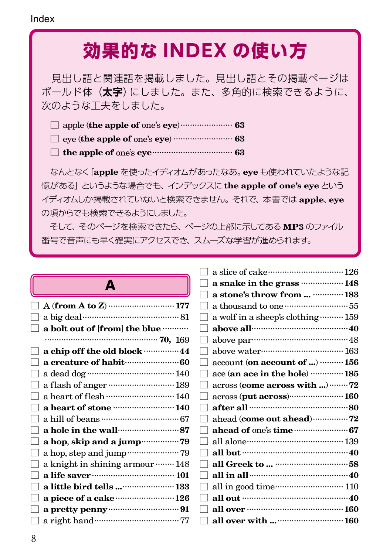# **効果的な INDEX の使い方**

 見出し語と関連語を掲載しました。見出し語とその掲載ページは ボールド体(**太字**)にしました。また、多角的に検索できるように、 次のような工夫をしました。

|--|--|--|--|--|--|--|

- □ eye (**the apple of** one's **eye**) ......................... **63**
- □ **the apple of** one's **eye**.................................. **63**

 なんとなく「**apple** を使ったイディオムがあったなあ。**eye** も使われていたような記 憶がある」というような場合でも、インデックスに **the apple of one's eye** という イディオムしか掲載されていないと検索できません。それで、本書では **apple**、**eye** の項からでも検索できるようにしました。

 そして、そのページを検索できたら、ページの上部に示してある **MP3** のファイル 番号で音声にも早く確実にアクセスでき、スムーズな学習が進められます。

| Δ<br>∽ |  |  |
|--------|--|--|
|        |  |  |

|              | $A$ (from $A$ to $Z$ ) …………………………… 177           |  |
|--------------|--------------------------------------------------|--|
|              | a big deal………………………………… 81                       |  |
|              | $\Box$ a bolt out of [from] the blue ………         |  |
|              |                                                  |  |
|              | a chip off the old block ···············44       |  |
|              | a creature of habit (1990) 60                    |  |
|              |                                                  |  |
|              | a flash of anger  189                            |  |
|              | a heart of flesh  140                            |  |
|              | a heart of stone  140                            |  |
|              |                                                  |  |
| ıі           | a hole in the wall <b>contained</b> 87           |  |
| $\mathsf{I}$ | a hop, skip and a jump ················ 79       |  |
|              | a hop, step and jump ························ 79 |  |
| $\mathbf{I}$ | a knight in shining armour ········ 148          |  |
|              |                                                  |  |
|              | a little bird tells  133                         |  |
|              | a piece of a cake 126                            |  |
|              |                                                  |  |
|              |                                                  |  |
|              |                                                  |  |

| a snake in the grass  148                                                                   |  |
|---------------------------------------------------------------------------------------------|--|
| a stone's throw from   183                                                                  |  |
|                                                                                             |  |
| a wolf in a sheep's clothing  159                                                           |  |
| above all manual and 40                                                                     |  |
|                                                                                             |  |
|                                                                                             |  |
| account (on account of )  156                                                               |  |
| ace (an ace in the hole) ………… 185                                                           |  |
| across (come across with ) 72                                                               |  |
| across (put across) 160                                                                     |  |
|                                                                                             |  |
| ahead (come out ahead)  72                                                                  |  |
|                                                                                             |  |
|                                                                                             |  |
|                                                                                             |  |
|                                                                                             |  |
| all in all $\cdots$ and $\cdots$ all $\cdots$ all in all $\cdots$ and $\cdots$ and $\cdots$ |  |
| all in good time……………………… 110                                                               |  |
|                                                                                             |  |
|                                                                                             |  |
| all over with   160                                                                         |  |
|                                                                                             |  |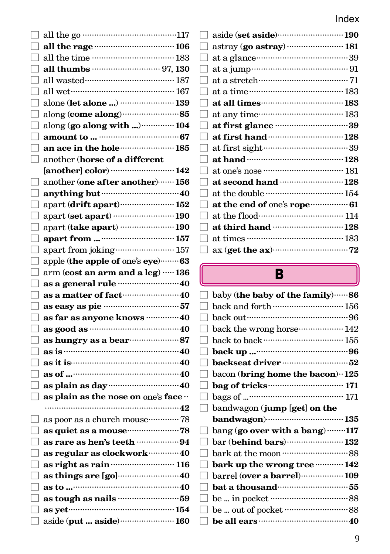| all the go $\dots\dots\dots\dots\dots\dots\dots\dots\dots\dots\dots\dots\dots 117$ |  |
|------------------------------------------------------------------------------------|--|
|                                                                                    |  |
|                                                                                    |  |
|                                                                                    |  |
| all wasted……………………………… 187                                                         |  |
| all wet…………………………………… 167                                                          |  |
|                                                                                    |  |
|                                                                                    |  |
| along (go along with )  104                                                        |  |
|                                                                                    |  |
| an ace in the hole  185                                                            |  |
| another (horse of a different                                                      |  |
|                                                                                    |  |
| another (one after another) ······· 156                                            |  |
|                                                                                    |  |
| apart (drift apart)  152                                                           |  |
| apart (set apart) …………………… 190                                                     |  |
| apart (take apart)  190                                                            |  |
|                                                                                    |  |
| apart from joking ························ 157                                     |  |
| apple (the apple of one's eye)  63                                                 |  |
| arm (cost an arm and a leg)  136                                                   |  |
| as a general rule <b>manual</b> 10                                                 |  |
| as a matter of fact manufactured                                                   |  |
| as easy as pie manual states 57                                                    |  |
| as far as anyone knows  40                                                         |  |
|                                                                                    |  |
|                                                                                    |  |
| as is $\cdots$ 40                                                                  |  |
| as it is $100 - 40$                                                                |  |
| as of $\cdots$ 40                                                                  |  |
|                                                                                    |  |
| as plain as the nose on one's face                                                 |  |
|                                                                                    |  |
| as poor as a church mouse………… 78                                                   |  |
| as quiet as a mouse ·························78                                    |  |
| as rare as hen's teeth 94                                                          |  |
| as regular as clockwork…………40                                                      |  |
| as right as rain ……………………… 116                                                     |  |
|                                                                                    |  |
|                                                                                    |  |
|                                                                                    |  |
| as yet…………………………………………… $154$                                                      |  |
| aside (put  aside)  160                                                            |  |
|                                                                                    |  |

|        | aside (set aside)190         |
|--------|------------------------------|
|        | astray (go astray)  181      |
|        |                              |
|        |                              |
|        |                              |
|        |                              |
|        | at all times (183)           |
|        | at any time…………………………… 183   |
|        |                              |
|        |                              |
|        |                              |
|        |                              |
|        | at one's nose ………………………… 181 |
|        | at second hand  128          |
|        | at the double ………………………… 154 |
| $\Box$ | at the end of one's rope  61 |
|        |                              |
|        | at third hand 128            |
|        |                              |
|        |                              |
|        |                              |

## B

|                   | baby (the baby of the family) ······ 86       |  |
|-------------------|-----------------------------------------------|--|
|                   | back and forth  156                           |  |
|                   |                                               |  |
|                   | back the wrong horse ·················· 142   |  |
|                   |                                               |  |
|                   |                                               |  |
|                   | backseat driver manufacturers 52              |  |
| $\mathbf{I}$      | bacon (bring home the bacon) $\cdot$ 125      |  |
|                   |                                               |  |
| $\Box$            | bags of $\cdots$ 171                          |  |
| $\Box$            | bandwagon (jump [get] on the                  |  |
|                   |                                               |  |
|                   | bang (go over with a bang) 117                |  |
| $\Box$            | bar (behind bars)  132                        |  |
|                   | bark at the moon minimum 88                   |  |
|                   | bark up the wrong tree ············ 142       |  |
|                   | barrel (over a barrel) ·················· 109 |  |
| H                 |                                               |  |
|                   |                                               |  |
| $\Box$            |                                               |  |
| $\vert \ \ \vert$ |                                               |  |
|                   |                                               |  |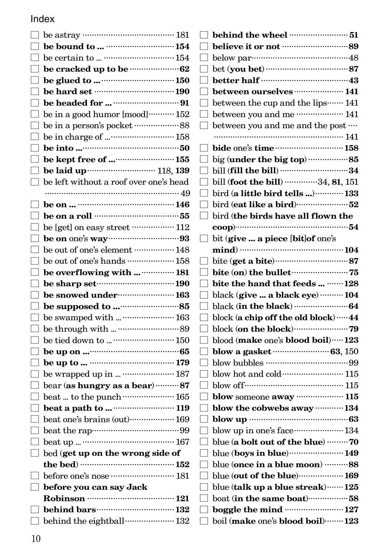| I            |                                                                           |  |
|--------------|---------------------------------------------------------------------------|--|
|              |                                                                           |  |
|              |                                                                           |  |
|              | $\Box$ be cracked up to be $\cdots$                                       |  |
|              |                                                                           |  |
| $\mathsf{L}$ |                                                                           |  |
| I            |                                                                           |  |
|              | be in a good humor $\left[ {\mathrm{mod}} \right]$ $152$                  |  |
| $\Box$       | be in a person's pocket $\cdots\cdots\cdots\cdots\cdots\cdots 88$         |  |
| ⊔            | be in charge of  158                                                      |  |
|              |                                                                           |  |
|              |                                                                           |  |
|              |                                                                           |  |
|              | $\hfill\Box$ be left without a roof over one's head                       |  |
|              |                                                                           |  |
| ப            |                                                                           |  |
| L            |                                                                           |  |
|              | $\Box$ be [get] on easy street ……………… 112                                 |  |
| ⊔            |                                                                           |  |
|              | $\Box$ be out of one's element ……………… 148                                 |  |
|              | $\Box$ be out of one's hands ………………… 158                                  |  |
|              | $\Box$ be overflowing with   181                                          |  |
|              |                                                                           |  |
|              | $\Box$ be sharp set $\Box$                                                |  |
|              | $\Box$ be snowed under $\cdots$ 163                                       |  |
| $\mathsf{L}$ |                                                                           |  |
| $\mathsf{L}$ |                                                                           |  |
| $\Box$       |                                                                           |  |
| П            |                                                                           |  |
|              |                                                                           |  |
|              |                                                                           |  |
|              | $\Box$ be wrapped up in   187                                             |  |
| ⊔            | bear (as hungry as a bear)  87                                            |  |
| ⊔            | beat  to the punch $\cdots\cdots\cdots\cdots\cdots\cdots\cdots\cdots 165$ |  |
| ┑            | beat a path to $\cdots$ 119                                               |  |
|              | $\Box$ beat one's brains (out)……………… 169                                  |  |
|              |                                                                           |  |
|              |                                                                           |  |
| П            | bed (get up on the wrong side of                                          |  |
|              | the bed) $\frac{152}{152}$                                                |  |
|              |                                                                           |  |
|              | $\Box$ before you can say Jack                                            |  |
|              | Robinson ……………………………… 121                                                 |  |
|              | $\Box$ behind the eightball $\cdots$ 132                                  |  |

|              | $\Box$ behind the wheel $\cdots$                                                                                                                                                                                                                                                               |
|--------------|------------------------------------------------------------------------------------------------------------------------------------------------------------------------------------------------------------------------------------------------------------------------------------------------|
| $\mathbf{I}$ |                                                                                                                                                                                                                                                                                                |
|              |                                                                                                                                                                                                                                                                                                |
|              |                                                                                                                                                                                                                                                                                                |
|              |                                                                                                                                                                                                                                                                                                |
|              | between ourselves  141                                                                                                                                                                                                                                                                         |
|              | between the cup and the lips ······· 141                                                                                                                                                                                                                                                       |
|              | between you and me  141                                                                                                                                                                                                                                                                        |
| П.           | between you and me and the post                                                                                                                                                                                                                                                                |
|              |                                                                                                                                                                                                                                                                                                |
|              | bide one's time  158                                                                                                                                                                                                                                                                           |
|              | big (under the big top) 85                                                                                                                                                                                                                                                                     |
|              | bill (fill the bill) 34                                                                                                                                                                                                                                                                        |
|              | bill (foot the bill) 34, 81, 151                                                                                                                                                                                                                                                               |
|              | bird (a little bird tells ) ············· 133                                                                                                                                                                                                                                                  |
|              | bird (eat like a bird)52                                                                                                                                                                                                                                                                       |
|              | bird (the birds have all flown the                                                                                                                                                                                                                                                             |
|              |                                                                                                                                                                                                                                                                                                |
|              | bit (give  a piece [bit]of one's                                                                                                                                                                                                                                                               |
|              |                                                                                                                                                                                                                                                                                                |
|              |                                                                                                                                                                                                                                                                                                |
|              | bite $($ on $)$ the bullet $($ $($ $)$ $($ $)$ $($ $)$ $($ $)$ $($ $)$ $($ $)$ $($ $)$ $($ $)$ $($ $)$ $($ $)$ $($ $)$ $($ $)$ $($ $)$ $($ $)$ $($ $)$ $($ $)$ $($ $)$ $($ $)$ $($ $)$ $($ $)$ $($ $)$ $($ $)$ $($ $)$ $($ $)$ $($ $)$ $($ $)$ $($ $)$ $($ $)$ $($ $)$ $($ $)$ $($ $)$ $($ $)$ |
|              | bite the hand that feeds   128                                                                                                                                                                                                                                                                 |
|              | black (give  a black eye)  104                                                                                                                                                                                                                                                                 |
|              |                                                                                                                                                                                                                                                                                                |
|              | block (a chip off the old block) …… 44                                                                                                                                                                                                                                                         |
|              |                                                                                                                                                                                                                                                                                                |
|              | blood (make one's blood boil)  123                                                                                                                                                                                                                                                             |
|              | blow a gasket <b>multiple</b> 63, 150                                                                                                                                                                                                                                                          |
|              |                                                                                                                                                                                                                                                                                                |
|              |                                                                                                                                                                                                                                                                                                |
|              |                                                                                                                                                                                                                                                                                                |
|              | blow someone away  115                                                                                                                                                                                                                                                                         |
|              | blow the cobwebs away  134                                                                                                                                                                                                                                                                     |
|              |                                                                                                                                                                                                                                                                                                |
|              | blow up in one's face ····················· 134                                                                                                                                                                                                                                                |
|              | blue (a bolt out of the blue) ………. 70                                                                                                                                                                                                                                                          |
|              | blue (boys in blue)  149                                                                                                                                                                                                                                                                       |
|              | blue (once in a blue moon) 88                                                                                                                                                                                                                                                                  |
|              | blue (out of the blue) <b>169</b>                                                                                                                                                                                                                                                              |
|              | blue (talk up a blue streak)……125                                                                                                                                                                                                                                                              |
|              | boat (in the same boat)58                                                                                                                                                                                                                                                                      |
|              | boggle the mind  127                                                                                                                                                                                                                                                                           |
|              | boil (make one's blood boil)……123                                                                                                                                                                                                                                                              |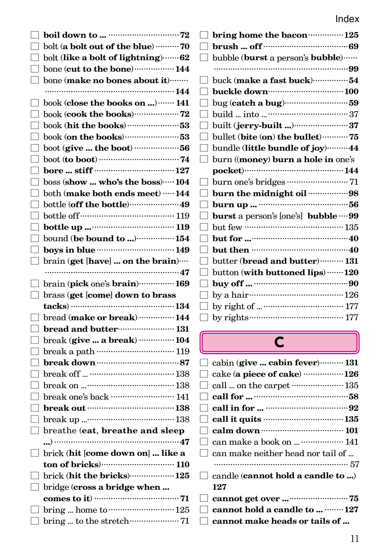|              | bolt (a bolt out of the blue) 70                                                                                                                        | Г      |
|--------------|---------------------------------------------------------------------------------------------------------------------------------------------------------|--------|
| $\mathsf{L}$ | bolt (like a bolt of lightning)  62                                                                                                                     |        |
| ப            | bone (cut to the bone) ……………… 144                                                                                                                       |        |
| □            | bone (make no bones about it)                                                                                                                           |        |
|              |                                                                                                                                                         |        |
| ப            | book (close the books on )  141                                                                                                                         |        |
| ப            | $\text{book}$ (cook the books)<br>$\cdots\cdots\cdots\cdots\cdots\cdots72$                                                                              |        |
| ⊔            | $\text{book}$ (hit the books) $\cdots\cdots\cdots\cdots\cdots\cdots53$                                                                                  |        |
| $\mathsf{L}$ | $\text{book}$ (on the books) $\cdots\cdots\cdots\cdots\cdots\cdots\cdots53$                                                                             |        |
|              |                                                                                                                                                         |        |
| ⊡            | boot (to boot) $\cdots$ 74                                                                                                                              | L      |
| $\mathsf{L}$ |                                                                                                                                                         |        |
| $\mathsf{L}$ | $\operatorname{boss}\left(\operatorname{\mathbf{show}}\dots\operatorname{\mathbf{who}}\right)$ the $\operatorname{\mathbf{boss}}\right)\dotsb\dotsm104$ |        |
| ப            | both (make both ends meet) …… 144                                                                                                                       |        |
|              |                                                                                                                                                         |        |
| $\mathsf{L}$ |                                                                                                                                                         | $\Box$ |
| □            | bottle up $\cdots$ 119                                                                                                                                  |        |
| П            | bound (be bound to ) $\cdots$ 154                                                                                                                       |        |
| ⊡            | boys in blue $149$                                                                                                                                      |        |
|              | $\hfill\Box$ brain (get [have]  on the brain)…                                                                                                          |        |
|              |                                                                                                                                                         |        |
|              |                                                                                                                                                         |        |
|              | $\Box$ brain (pick one's brain) $\cdots$ 169                                                                                                            |        |
|              | $\Box$ brass (get [come] down to brass                                                                                                                  |        |
|              |                                                                                                                                                         |        |
| $\mathsf{L}$ | $\pmb{\text{bread (make or break)} \cdots \cdots \cdots \cdots \cdot 144}$                                                                              |        |
| ப            | bread and butter…………………… 131                                                                                                                            |        |
| $\mathsf{L}$ | break (give  a break)  104                                                                                                                              |        |
| $\mathsf{L}$ | break a path ………………………… 119                                                                                                                             |        |
| $\mathsf{L}$ | ${\bf break\ down\cdots}\hspace{0.02cm} {\bf 87}$                                                                                                       |        |
| ⊔            |                                                                                                                                                         |        |
| $\mathsf{L}$ |                                                                                                                                                         | ப      |
| ப            | break one's back ……………………… 141                                                                                                                          |        |
|              |                                                                                                                                                         |        |
|              | break up $\cdots$ 138                                                                                                                                   |        |
| $\Box$       | breathe (eat, breathe and sleep                                                                                                                         | $\Box$ |
|              |                                                                                                                                                         |        |
| ப            | brick (hit [come down on]  like a                                                                                                                       |        |
|              |                                                                                                                                                         |        |
|              | $\Box$ brick (hit the bricks) $\cdots$ 125                                                                                                              |        |
|              | $\Box$ bridge (cross a bridge when                                                                                                                      |        |
|              |                                                                                                                                                         |        |
|              | $\Box$ bring  home to $\cdots$ 125                                                                                                                      |        |

| bring home the bacon ················ 125          |
|----------------------------------------------------|
|                                                    |
| bubble (burst a person's bubble)                   |
|                                                    |
| buck (make a fast buck)54                          |
| buckle down                                        |
| bug (catch a bug)59                                |
|                                                    |
|                                                    |
| bullet (bite (on) the bullet) ··········· 75       |
| bundle (little bundle of joy) 44                   |
| burn (( <b>money</b> ) <b>burn a hole in</b> one's |
|                                                    |
|                                                    |
| burn the midnight oil 98                           |
|                                                    |
| burst a person's [one's] bubble  99                |
|                                                    |
|                                                    |
|                                                    |
| butter (bread and butter)  131                     |
| button (with buttoned lips)  120                   |
|                                                    |
| by a hair $\cdots$ 126                             |
| by right of $\cdots$ 177                           |
| by rights $\cdots$ 177                             |

# $\overline{\mathsf{C}}$

| $\Box$ cabin (give  cabin fever) $\cdots$ 131               |
|-------------------------------------------------------------|
| $\Box$ cake (a piece of cake)  126                          |
| $\Box$ call  on the carpet …………………… 135                     |
|                                                             |
|                                                             |
| $\Box$ call it quits $\Box$                                 |
| $\Box$ calm down $\cdots$ $\cdots$ $\cdots$ $\cdots$ 101    |
| $\Box$ can make a book on   141                             |
| $\vert\,\,\vert$ can make neither head nor tail of $\,\,\,$ |
|                                                             |
| $\Box$ candle ( <b>cannot hold a candle to </b> )           |
| 127                                                         |
|                                                             |
| $\Box$ cannot hold a candle to $\cdots\cdots\cdots 127$     |
| $\vert\,\,\vert$ cannot make heads or tails of              |
|                                                             |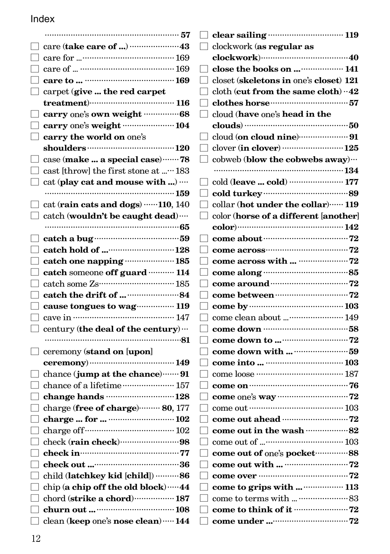|        | $\Box$ carpet (give  the red carpet             |
|--------|-------------------------------------------------|
|        | $treatment)$ $116$                              |
|        |                                                 |
|        | $\Box$ carry one's weight …………………… 104          |
| $\Box$ | carry the world on one's                        |
|        |                                                 |
|        | case (make  a special case)  78                 |
|        | □ cast [throw] the first stone at …183          |
|        | $\Box$ cat (play cat and mouse with )           |
|        |                                                 |
|        | $\Box$ cat (rain cats and dogs) ……110, 140      |
|        | $\Box$ catch (wouldn't be caught dead)          |
|        |                                                 |
|        |                                                 |
|        |                                                 |
|        | $\Box$ catch one napping  185                   |
|        | catch someone off guard  114                    |
|        | $\Box$ catch some Zs…………………………… 185             |
|        | $\Box$ catch the drift of $\Box$                |
|        | $\Box$ cause tongues to wag  119                |
|        |                                                 |
|        | $\Box$ century (the deal of the century)        |
|        |                                                 |
|        | ceremony (stand on [upon]                       |
|        |                                                 |
|        | $\Box$ chance (jump at the chance)  91          |
|        | chance of a lifetime ······················ 157 |
|        |                                                 |
|        | charge (free of charge)  80, 177                |
|        |                                                 |
|        |                                                 |
|        | $\Box$ check (rain check) $\cdots$              |
|        |                                                 |
|        |                                                 |
|        | child (latchkey kid [child]) 86                 |
|        | $\Box$ chip (a chip off the old block)  44      |
|        | $\Box$ chord (strike a chord)…………… 187          |
|        |                                                 |
|        | clean (keep one's nose clean)  144              |

| $\Box$ clockwork (as regular as                   |
|---------------------------------------------------|
|                                                   |
| close the books on  141                           |
| closet (skeletons in one's closet) 121            |
| $\Box$ cloth (cut from the same cloth) $\cdot$ 42 |
|                                                   |
| cloud (have one's head in the                     |
|                                                   |
|                                                   |
|                                                   |
| $\Box$ cobweb (blow the cobwebs away) $\cdots$    |
|                                                   |
|                                                   |
|                                                   |
| collar (hot under the collar)  119                |
| color (horse of a different [another]             |
| color) …………………………………… 142                         |
| come about $\cdots$ 72                            |
|                                                   |
|                                                   |
|                                                   |
|                                                   |
|                                                   |
|                                                   |
| come clean about  149                             |
|                                                   |
|                                                   |
|                                                   |
|                                                   |
| come loose …………………………… 187                        |
|                                                   |
|                                                   |
|                                                   |
|                                                   |
|                                                   |
|                                                   |
| come out of one's pocket  88                      |
| come out with $\cdots$ 72                         |
|                                                   |
| come to grips with   113                          |
|                                                   |
|                                                   |
|                                                   |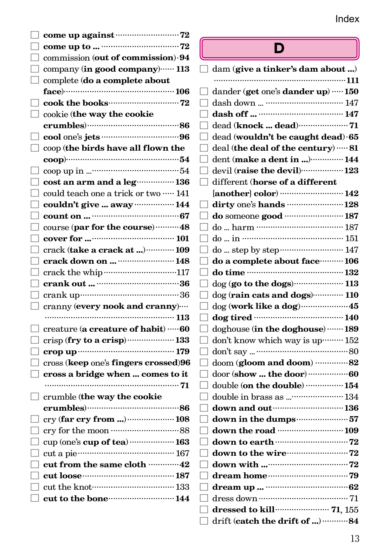| $\Box$ come up against $\cdots$ 72                    |                                     |
|-------------------------------------------------------|-------------------------------------|
| $\Box$ commission (out of commission) $\cdot$ 94      | L                                   |
| company (in good company)  113                        | $\Box$ dam (give a tinl             |
| $\Box$ complete (do a complete about                  |                                     |
|                                                       | dander (get one's                   |
| $\Box$ cook the books $\cdots$ 72                     | dash down                           |
| $\Box$ cookie (the way the cookie                     | dash off                            |
|                                                       | dead (knock  d                      |
|                                                       | dead (wouldn't l                    |
| $\Box$ coop (the birds have all flown the             | deal (the deal of                   |
|                                                       | dent (make a de                     |
|                                                       | devil (raise the                    |
| $\Box$ cost an arm and a leg  136                     | different ( <b>horse</b><br>$\Box$  |
| $\Box$ could teach one a trick or two $\cdots$ 141    | [another] color)                    |
| $\Box$ couldn't give  away $\cdots$ 144               | dirty one's hand                    |
|                                                       | do someone good                     |
| $\Box$ course (par for the course)………48               | do  harm ………                        |
|                                                       | $do \dots in \dots \dots \dots$     |
| $\Box$ crack (take a crack at ) $\cdots$ 109          | do  step by step                    |
| crack down on   148                                   | do a complete a                     |
|                                                       | do time                             |
|                                                       | $\log$ (go to the de                |
|                                                       | $\log$ (rain cats are               |
| $\Box$ cranny (every nook and cranny) $\cdots$        | dog (work like a                    |
|                                                       | dog tired                           |
| $\Box$ creature ( <b>a creature of habit</b> ) … $60$ | doghouse (in the                    |
| $\Box$ crisp (fry to a crisp)  133                    | don't know which                    |
|                                                       | don't say                           |
| $\Box$ cross (keep one's fingers crossed)96           | doom (gloom an<br>$\Box$            |
| $\Box$ cross a bridge when  comes to it               | door (show  the                     |
|                                                       | double (on the d                    |
| $\Box$ crumble (the way the cookie                    | double in brass a                   |
|                                                       | down and out…                       |
| $\Box$ cry (far cry from )  108                       | down in the du                      |
|                                                       | down the road                       |
| $\Box$ cup (one's cup of tea)  163                    | down to earth ··                    |
| $\Box$ cut a pie $\Box$                               | down to the wir                     |
| $\Box$ cut from the same cloth …………42                 | down with                           |
| $\Box$ cut loose $\Box$ 187                           | dream home                          |
| $\Box$ cut the knot $\cdots$                          | dream up                            |
| $\Box$ cut to the bone $144$                          | $\mathop{\bigsqcup}$ dress down ……… |
|                                                       |                                     |

#### ่ว

| dam (give a tinker's dam about )                         |
|----------------------------------------------------------|
| .<br>……111                                               |
| dander (get one's dander up) …… 150                      |
|                                                          |
|                                                          |
|                                                          |
| dead (wouldn't be caught dead) 65                        |
| deal (the deal of the century)  81                       |
| dent (make a dent in ) 144                               |
| devil (raise the devil)  123                             |
| different (horse of a different                          |
|                                                          |
| dirty one's hands  128                                   |
| do someone good  187                                     |
|                                                          |
| do  in …….                                               |
|                                                          |
| do a complete about face ·········· 106                  |
|                                                          |
| dog (go to the dogs)  113                                |
| dog (rain cats and dogs)  110                            |
| dog (work like a dog) 45                                 |
|                                                          |
| doghouse (in the doghouse)  189                          |
| don't know which way is up ········· 152                 |
|                                                          |
| doom (gloom and doom) 82                                 |
|                                                          |
| double (on the double)  154                              |
| double in brass as  134                                  |
| down and out manuscritting 136                           |
| down in the dumps57                                      |
|                                                          |
|                                                          |
| down to the wire <b>contract to the wire contract</b> 72 |
| down with $\cdots$ 72                                    |
|                                                          |
|                                                          |
|                                                          |
|                                                          |
| drift (catch the drift of )  84                          |
|                                                          |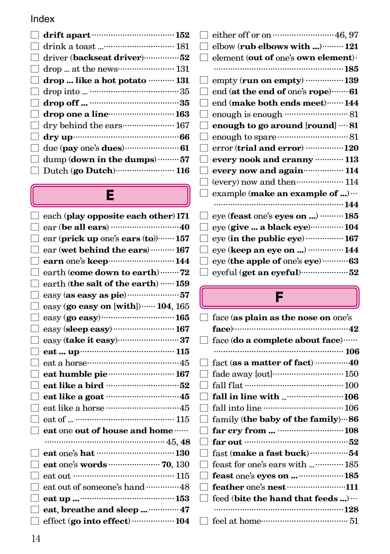| $\Box$ driver (backseat driver) $\cdots$ 52 |
|---------------------------------------------|
|                                             |
| $\Box$ drop  like a hot potato ………. 131     |
|                                             |
|                                             |
| $\Box$ drop one a line $\Box$ 163           |
| $\Box$ dry behind the ears  167             |
|                                             |
|                                             |
| $\Box$ dump (down in the dumps)  57         |
| Dutch (go Dutch) 116                        |
|                                             |

# E

| each (play opposite each other) 171      |
|------------------------------------------|
|                                          |
| ear (prick up one's ears (to))…… 157     |
| ear (wet behind the ears)  167           |
|                                          |
| earth (come down to earth)  72           |
| earth (the salt of the earth) …… 159     |
|                                          |
| easy (go easy on [with]) ······ 104, 165 |
| easy (go easy) 165                       |
| easy (sleep easy)  167                   |
| easy (take it easy)37                    |
|                                          |
|                                          |
|                                          |
|                                          |
| eat like a goat monomum 45               |
| eat like a horse …………………………45            |
|                                          |
| eat one out of house and home            |
|                                          |
| eat one's hat www.communications.        |
|                                          |
| eat out …………………………………… 115               |
| eat out of someone's hand  48            |
|                                          |
| eat, breathe and sleep 47                |
| effect (go into effect) ……………… 104       |
|                                          |

|        | either off or on  46, 97                      |
|--------|-----------------------------------------------|
|        | elbow ( <b>rub elbows with </b> )……… 121      |
|        | element (out of one's own element).           |
|        |                                               |
|        | empty (run on empty) …………… 139                |
|        | end (at the end of one's rope)  61            |
|        | end (make both ends meet)…… 144               |
|        |                                               |
|        | enough to go around [round]  81               |
|        |                                               |
|        | error (trial and error)  120                  |
|        |                                               |
|        | every nook and cranny  113                    |
|        | every now and again ················· 114     |
|        | (every) now and then ···················· 114 |
| $\Box$ | example (make an example of ) $\cdots$        |
|        |                                               |
|        | eye (feast one's eyes on )  185               |
|        | eye (give  a black eye)  104                  |
|        | eye (in the public eye)  167                  |
|        | eye (keep an eye on )  144                    |
|        | eye (the apple of one's eye)  63              |

# F

|   | face (as plain as the nose on one's |
|---|-------------------------------------|
|   |                                     |
|   | face (do a complete about face)     |
|   |                                     |
|   | fact (as a matter of fact)  40      |
|   | fade away [out]  150                |
|   |                                     |
|   | fall in line with  106              |
|   |                                     |
| H | family (the baby of the family)  86 |
|   |                                     |
|   |                                     |
|   | fast (make a fast buck) 54          |
|   | feast for one's ears with  185      |
|   | feast one's eyes on   185           |
|   | feather one's nest 111              |
|   | feed (bite the hand that feeds)     |
|   |                                     |
|   |                                     |
|   |                                     |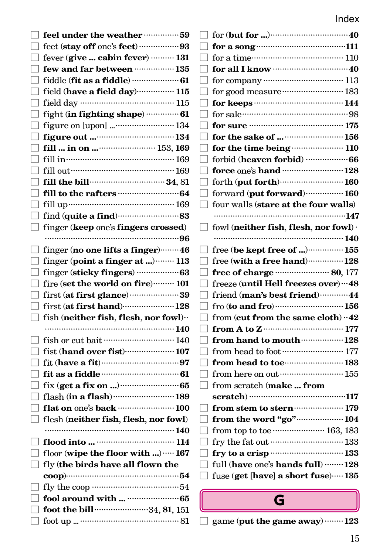| $\Box$ feel under the weather ………………59               |                                                                                    |
|------------------------------------------------------|------------------------------------------------------------------------------------|
|                                                      |                                                                                    |
| fever (give  cabin fever) $\cdots$ 131               |                                                                                    |
| $\Box$ few and far between ……………… 135                |                                                                                    |
|                                                      |                                                                                    |
| field (have a field day) 115                         | for good measure ……………………… 183                                                     |
|                                                      | for keeps ……………………………… 144                                                         |
| fight (in fighting shape)  61                        |                                                                                    |
| figure on [upon]  134                                |                                                                                    |
|                                                      | for the sake of   156                                                              |
|                                                      | for the time being <b>contract to the time</b> being <b>contract</b> 110           |
|                                                      | forbid (heaven forbid) ……………… 66                                                   |
|                                                      | force one's hand  128                                                              |
|                                                      | forth (put forth) 160                                                              |
|                                                      | forward (put forward)  160                                                         |
| $\Box$ fill up $\Box$ ill up $\Box$                  | $\Box$ four walls (stare at the four walls)                                        |
|                                                      |                                                                                    |
| finger (keep one's fingers crossed)                  | fowl (neither fish, flesh, nor fowl) $\cdot$                                       |
|                                                      |                                                                                    |
|                                                      | free (be kept free of )  155<br>$\Box$                                             |
| finger (point a finger at ) ········· 113            | $\Box$ free (with a free hand) $\cdots$ 128                                        |
|                                                      | $\Box$ free of charge <b>EXECUTE:</b> 80, 177                                      |
| $\Box$ fire (set the world on fire)……… 101           | freeze (until Hell freezes over)  48                                               |
|                                                      | friend (man's best friend)  44<br>$\Box$                                           |
|                                                      |                                                                                    |
| $\Box$ fish (neither fish, flesh, nor fowl) $\cdots$ | from (cut from the same cloth) $\cdot$ 42                                          |
|                                                      | from A to Z $\cdots$ 177                                                           |
| $\Box$ fish or cut bait ……………………………… 140             | from hand to mouth  128                                                            |
| fist (hand over fist)………………… 107                     | from head to foot $\cdots\cdots\cdots\cdots\cdots\cdots\cdots\cdots\cdots 177$     |
| fit (have a fit) $\cdots$ 07                         | from head to toe  183                                                              |
| fit as a fiddle $\cdots$ 61                          | from here on out ·································· 155                            |
| $fix$ (get a fix on ) $\cdots$ 65                    | from scratch (make  from                                                           |
|                                                      | scratch) ………………………………117                                                           |
| $\Box$ flat on one's back ……………………… 100              | $\Box$ from stem to stern  179                                                     |
| flesh (neither fish, flesh, nor fowl)                | $\Box$ from the word "go" 104                                                      |
|                                                      | from top to toe  163, 183                                                          |
|                                                      | fry the fat out $\cdots\cdots\cdots\cdots\cdots\cdots\cdots\cdots\cdots\cdots 133$ |
| floor (wipe the floor with )  167                    | fry to a crisp  133                                                                |
| $\Box$ fly (the birds have all flown the             | full (have one's hands full)  128                                                  |
| coop)………………………………………54                               | $\Box$ fuse (get [have] a short fuse)…. 135                                        |
| $\Box$ fly the coop …………………………………54                  |                                                                                    |
|                                                      | G                                                                                  |
| $\Box$ foot the bill $\cdots$ 34, 81, 151            |                                                                                    |
|                                                      | game (put the game away)  123                                                      |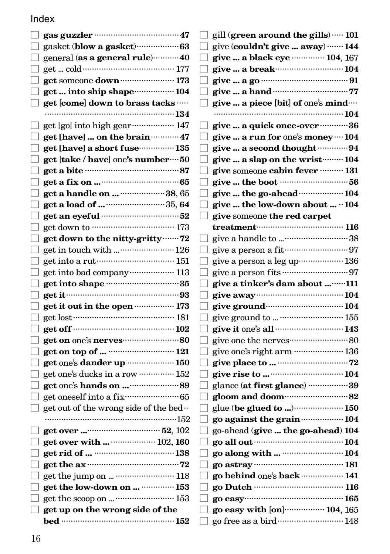|                   | gasket (blow a gasket) ····················· 63             |
|-------------------|-------------------------------------------------------------|
|                   | general (as a general rule) 40                              |
|                   |                                                             |
|                   | get someone down ······················· 173                |
|                   | get  into ship shape  104                                   |
|                   | get [come] down to brass tacks                              |
|                   |                                                             |
|                   |                                                             |
|                   | get [have]  on the brain ············ 47                    |
|                   | get [have] a short fuse  135                                |
|                   | get [take / have] one's number ···· 50                      |
|                   |                                                             |
|                   |                                                             |
|                   | get a handle on   38, 65                                    |
| $\mathsf{L}$      |                                                             |
|                   | get an eyeful manufactured 52                               |
|                   |                                                             |
| П                 | get down to the nitty-gritty ······· 72                     |
|                   | get in touch with  126                                      |
|                   |                                                             |
|                   | get into bad company ·················· 113                 |
|                   | get into shape 35                                           |
|                   | get it………………………………………………93                                  |
|                   | get it out in the open <b>with the set of the State</b>     |
|                   |                                                             |
|                   |                                                             |
|                   | get on one's nerves <b>contract and SO</b>                  |
| $\vert \ \ \vert$ |                                                             |
|                   | get one's dander up  150                                    |
|                   | get one's ducks in a row ··············· 152                |
|                   |                                                             |
|                   | get oneself into a fix ··································65 |
|                   | get out of the wrong side of the bed.                       |
|                   |                                                             |
|                   |                                                             |
|                   | get over with   102, 160                                    |
|                   |                                                             |
|                   | get the $ax$ $12$                                           |
|                   |                                                             |
|                   | get the low-down on   153                                   |
|                   | get the scoop on   153                                      |
| $\mathsf{L}$      | get up on the wrong side of the                             |
|                   |                                                             |
|                   |                                                             |

| gill (green around the gills)  101            |
|-----------------------------------------------|
| give (couldn't give  away)  144               |
| give  a black eye  104, 167                   |
| give  a break……………………… 104                    |
|                                               |
|                                               |
| give  a piece [bit] of one's mind             |
|                                               |
| give  a quick once-over …………36                |
| give  a run for one's money … 104             |
| give  a second thought 94                     |
| give  a slap on the wrist  104                |
| give someone cabin fever ……… 131              |
| give  the boot …………………………56                   |
|                                               |
| give  the low-down about $\cdot\cdot\,104$    |
| give someone the red carpet                   |
|                                               |
| give a handle to 38                           |
|                                               |
| give a person a leg up··················· 136 |
|                                               |
|                                               |
| give a tinker's dam about 111                 |
|                                               |
|                                               |
| give ground to   155                          |
| give it one's all  143                        |
|                                               |
| give one's right arm  136                     |
|                                               |
|                                               |
| glance (at first glance) 39                   |
|                                               |
| glue (be glued to ) 150                       |
| go against the grain manual 104               |
| go-ahead (give  the go-ahead) 104             |
|                                               |
| go along with   104                           |
|                                               |
| go behind one's back  141                     |
|                                               |
|                                               |
| go easy with [on] 104, 165                    |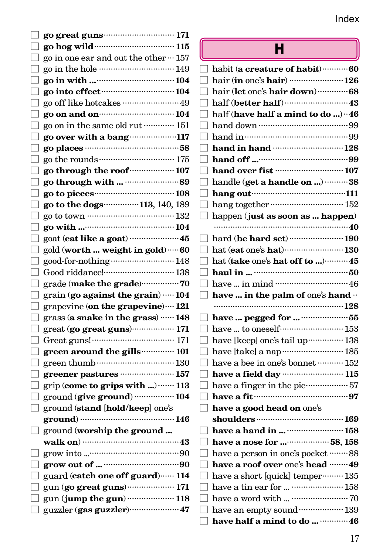|                                                                       | н                                                            |
|-----------------------------------------------------------------------|--------------------------------------------------------------|
| $\Box$ go in one ear and out the other $\cdots$ 157                   |                                                              |
|                                                                       |                                                              |
|                                                                       | $\Box$ hair (in one's hair) …………………… 126                     |
|                                                                       | $\Box$ hair (let one's hair down)…………68                      |
|                                                                       |                                                              |
| $\Box$ go on and on $\Box$                                            | $\Box$ half (have half a mind to do ) ^46                    |
| $\Box$ go on in the same old rut $\cdots$ 151                         |                                                              |
| $\Box$ go over with a bang 117                                        |                                                              |
|                                                                       | $\Box$ hand in hand ………………………………………128                       |
|                                                                       |                                                              |
|                                                                       |                                                              |
|                                                                       | $\Box$ handle (get a handle on ) 38                          |
|                                                                       | $\Box$ hang out $\Box$                                       |
| $\Box$ go to the dogs 113, 140, 189                                   |                                                              |
|                                                                       | $\Box$ happen (just as soon as  happen)                      |
|                                                                       |                                                              |
| $\Box$ goat (eat like a goat) ……………………45                              | $\Box$ hard (be hard set) ……………………… 190                      |
| $\Box$ gold (worth  weight in gold) $\cdots$ 60                       |                                                              |
| good-for-nothing ································ 148                 | $\Box$ hat (take one's hat off to …)………45                    |
| $\Box$ Good riddance!………………………… 138                                   |                                                              |
| $\bigsqcup$ grade (make the grade) $\cdots\cdots\cdots\cdots\cdots70$ |                                                              |
| $\Box$ grain (go against the grain) $\cdots$ 104                      | $\Box$ have  in the palm of one's hand $\cdots$              |
| $\Box$ grapevine (on the grapevine) $\cdots$ 121                      |                                                              |
| $\Box$ grass (a snake in the grass) …… 148                            |                                                              |
| $\Box$ great (go great guns)……………… 171                                | $\Box$ have  to oneself  153                                 |
|                                                                       | $\Box$ have [keep] one's tail up  138                        |
| $\Box$ green around the gills $\cdots$ 101                            | □ have [take] a nap…………………… 185                              |
|                                                                       | $\Box$ have a bee in one's bonnet ………. 152                   |
| $\Box$ greener pastures …………………… 157                                  |                                                              |
| $\Box$ grip (come to grips with ) $\cdots$ 113                        | $\Box$ have a finger in the pie $\cdots$                     |
| $\Box$ ground (give ground) ……………… 104                                | $\Box$ have a fit $\cdots$ and $\Box$                        |
| $\Box$ ground (stand [hold/keep] one's                                | $\Box$ have a good head on $\mathrm{one} \mathrm{\acute{s}}$ |
|                                                                       | shoulders …………………………………… 169                                 |
| $\Box$ ground (worship the ground                                     | $\Box$ have a hand in  ……………………… 158                         |
|                                                                       |                                                              |
|                                                                       | $\Box$ have a person in one's pocket $\cdots \cdots 88$      |
|                                                                       | $\Box$ have a roof over one's head …… 49                     |
| $\Box$ guard (catch one off guard)…… 114                              | $\Box$ have a short [quick] temper $\cdots$ 135              |
|                                                                       | $\Box~$ have a tin ear for … …………………… 158                    |
|                                                                       |                                                              |
| $\Box$ guzzler (gas guzzler) $\ldots$ $47$                            |                                                              |
|                                                                       | $\Box$ have half a mind to do   46                           |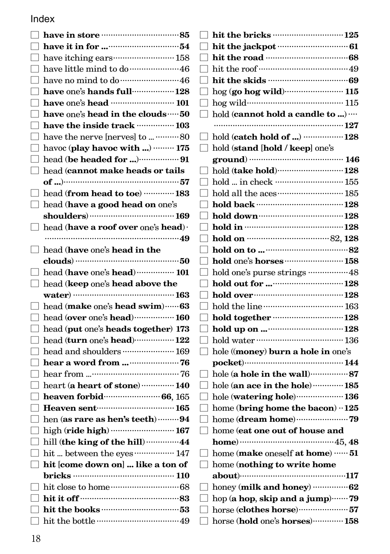| $\Box$ have one's hands full $\cdots$ 128                                                                                                                                                                                                                                                   |
|---------------------------------------------------------------------------------------------------------------------------------------------------------------------------------------------------------------------------------------------------------------------------------------------|
|                                                                                                                                                                                                                                                                                             |
| $\Box$ have one's head in the clouds $\cdots$ 50                                                                                                                                                                                                                                            |
| have the inside track model in 103                                                                                                                                                                                                                                                          |
| □ have the nerve [nerves] to  ………… 80                                                                                                                                                                                                                                                       |
| havoc (play havoc with )  175                                                                                                                                                                                                                                                               |
|                                                                                                                                                                                                                                                                                             |
| $\Box$ head (cannot make heads or tails                                                                                                                                                                                                                                                     |
|                                                                                                                                                                                                                                                                                             |
| head (from head to toe)  183                                                                                                                                                                                                                                                                |
| head (have a good head on one's                                                                                                                                                                                                                                                             |
|                                                                                                                                                                                                                                                                                             |
| $\mathop{\mathrm{\bf head}}\nolimits\left(\mathop{\mathrm{\bf have}}\nolimits \mathop{\mathrm{\bf a}}\nolimits \mathop{\mathrm{\bf roof}}\nolimits \mathop{\mathrm{\bf over}}\nolimits \mathop{\mathrm{\bf one}}\nolimits_{{\mathrm S}}^{\mathop{\mathrm{\bf head}}\nolimits}\right) \cdot$ |
|                                                                                                                                                                                                                                                                                             |
| $\Box$ head (have one's head in the                                                                                                                                                                                                                                                         |
|                                                                                                                                                                                                                                                                                             |
| $\Box$ head (have one's head)  101                                                                                                                                                                                                                                                          |
|                                                                                                                                                                                                                                                                                             |
| $\Box$ head (keep one's head above the                                                                                                                                                                                                                                                      |
| water) $\cdots$ 163                                                                                                                                                                                                                                                                         |
| head (make one's head swim)  63                                                                                                                                                                                                                                                             |
| $\Box$ head (over one's head)  160                                                                                                                                                                                                                                                          |
| head (put one's heads together) 173                                                                                                                                                                                                                                                         |
| $\Box$ head (turn one's head) $\cdots$ 122                                                                                                                                                                                                                                                  |
| head and shoulders  169                                                                                                                                                                                                                                                                     |
|                                                                                                                                                                                                                                                                                             |
|                                                                                                                                                                                                                                                                                             |
| heart (a heart of stone)  140                                                                                                                                                                                                                                                               |
| heaven forbid (165) heaven for bid (165)                                                                                                                                                                                                                                                    |
| $\Box$ Heaven sent $\cdots$ 165                                                                                                                                                                                                                                                             |
| $\Box$ hen (as rare as hen's teeth)  94                                                                                                                                                                                                                                                     |
| $\Box$ high (ride high) ………………………… 167                                                                                                                                                                                                                                                      |
| hill (the king of the hill)  44                                                                                                                                                                                                                                                             |
| hit  between the eyes ················· 147                                                                                                                                                                                                                                                 |
| $\Box$ hit [come down on]  like a ton of                                                                                                                                                                                                                                                    |
|                                                                                                                                                                                                                                                                                             |
|                                                                                                                                                                                                                                                                                             |
|                                                                                                                                                                                                                                                                                             |
|                                                                                                                                                                                                                                                                                             |

|                                  | $\Box$ hit the bricks ……………………………… 125                                                                                                                                                                                                                                                                                                       |
|----------------------------------|----------------------------------------------------------------------------------------------------------------------------------------------------------------------------------------------------------------------------------------------------------------------------------------------------------------------------------------------|
|                                  |                                                                                                                                                                                                                                                                                                                                              |
|                                  |                                                                                                                                                                                                                                                                                                                                              |
| ٦                                |                                                                                                                                                                                                                                                                                                                                              |
| ┑                                |                                                                                                                                                                                                                                                                                                                                              |
| □                                |                                                                                                                                                                                                                                                                                                                                              |
|                                  | hog wild minimum 115                                                                                                                                                                                                                                                                                                                         |
| $\Box$                           | hold (cannot hold a candle to )                                                                                                                                                                                                                                                                                                              |
|                                  |                                                                                                                                                                                                                                                                                                                                              |
|                                  | hold (catch hold of ) ………………128                                                                                                                                                                                                                                                                                                              |
|                                  | hold (stand [hold / keep] one's                                                                                                                                                                                                                                                                                                              |
|                                  | ground) ………………………………… 146                                                                                                                                                                                                                                                                                                                    |
|                                  | hold (take hold) ·······························128                                                                                                                                                                                                                                                                                          |
| ٦.                               |                                                                                                                                                                                                                                                                                                                                              |
|                                  | hold all the aces  185                                                                                                                                                                                                                                                                                                                       |
|                                  | hold back …………………………………… 128                                                                                                                                                                                                                                                                                                                 |
|                                  |                                                                                                                                                                                                                                                                                                                                              |
|                                  |                                                                                                                                                                                                                                                                                                                                              |
|                                  | hold on <b>manual</b> 82, 128                                                                                                                                                                                                                                                                                                                |
|                                  | hold on to $\cdots$ 82                                                                                                                                                                                                                                                                                                                       |
|                                  | hold one's horses  158                                                                                                                                                                                                                                                                                                                       |
| ٦                                | hold one's purse strings ………………48                                                                                                                                                                                                                                                                                                            |
| $\blacksquare$                   |                                                                                                                                                                                                                                                                                                                                              |
| $\mathcal{L}$                    | hold over minimum 128                                                                                                                                                                                                                                                                                                                        |
|                                  | hold the line monomulation 163                                                                                                                                                                                                                                                                                                               |
| ٦                                | hold together 128                                                                                                                                                                                                                                                                                                                            |
| ┓                                |                                                                                                                                                                                                                                                                                                                                              |
|                                  | hold water ……………………………… 136                                                                                                                                                                                                                                                                                                                  |
| ┓                                | hole ((money) burn a hole in one's                                                                                                                                                                                                                                                                                                           |
|                                  |                                                                                                                                                                                                                                                                                                                                              |
|                                  | hole (a hole in the wall) $\cdots\cdots\cdots\cdots\cdots 87$                                                                                                                                                                                                                                                                                |
| ┑                                | hole (an ace in the hole) ………… 185                                                                                                                                                                                                                                                                                                           |
| □                                | hole (watering hole) 136                                                                                                                                                                                                                                                                                                                     |
|                                  | home (bring home the bacon) · 125                                                                                                                                                                                                                                                                                                            |
|                                  |                                                                                                                                                                                                                                                                                                                                              |
| ſ<br>$\mathcal{L}_{\mathcal{A}}$ | home (eat one out of house and                                                                                                                                                                                                                                                                                                               |
|                                  | home) $\cdots$ 45, 48                                                                                                                                                                                                                                                                                                                        |
|                                  | home (make oneself at home)  51                                                                                                                                                                                                                                                                                                              |
|                                  | $\Box$ home (nothing to write home                                                                                                                                                                                                                                                                                                           |
|                                  | $about)$ $\cdots$ $\cdots$ $\cdots$ $\cdots$ $\cdots$ $\cdots$ $\cdots$ $\cdots$ $\cdots$ $\cdots$ $\cdots$ $\cdots$ $\cdots$ $\cdots$ $\cdots$ $\cdots$ $\cdots$ $\cdots$ $\cdots$ $\cdots$ $\cdots$ $\cdots$ $\cdots$ $\cdots$ $\cdots$ $\cdots$ $\cdots$ $\cdots$ $\cdots$ $\cdots$ $\cdots$ $\cdots$ $\cdots$ $\cdots$ $\cdots$ $\cdots$ |
|                                  | honey (milk and honey) $\cdots$ $62$                                                                                                                                                                                                                                                                                                         |
|                                  | hop (a hop, skip and a jump)79                                                                                                                                                                                                                                                                                                               |
| ┑                                | horse (clothes horse)  57                                                                                                                                                                                                                                                                                                                    |
|                                  | horse (hold one's horses) 158                                                                                                                                                                                                                                                                                                                |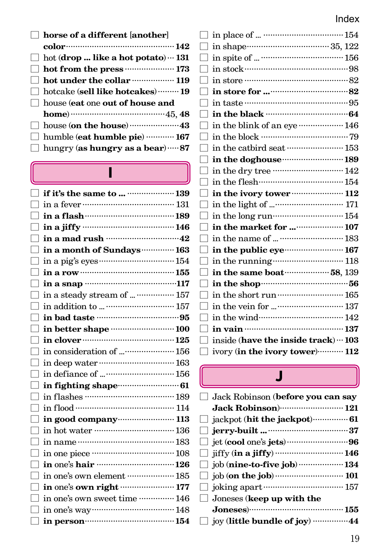| $\Box$ horse of a different [another]             |
|---------------------------------------------------|
|                                                   |
| $\Box$ hot (drop  like a hot potato) $\cdots$ 131 |
| hot from the press <b>continuous</b> 173          |
| $\Box$ hot under the collar ……………… 119            |
| hotcake (sell like hotcakes) ……… 19               |
| $\Box$ house (eat one out of house and            |
| home) $\cdots$ $(45, 48)$                         |
|                                                   |
| $\Box$ humble (eat humble pie) $\cdots$ 167       |
| $\Box$ hungry (as hungry as a bear) $\cdots$ 87   |
|                                                   |

### I

| if it's the same to   139                    |  |
|----------------------------------------------|--|
|                                              |  |
|                                              |  |
|                                              |  |
|                                              |  |
| in a month of Sundays ·············· 163     |  |
|                                              |  |
|                                              |  |
|                                              |  |
| in a steady stream of   157                  |  |
|                                              |  |
|                                              |  |
| in better shape  100                         |  |
|                                              |  |
| in consideration of  156                     |  |
|                                              |  |
|                                              |  |
|                                              |  |
|                                              |  |
|                                              |  |
| in good company ························ 113 |  |
|                                              |  |
|                                              |  |
|                                              |  |
|                                              |  |
| in one's own element ……………… 185              |  |
| in one's own right  177                      |  |
| in one's own sweet time  146                 |  |
|                                              |  |
|                                              |  |
|                                              |  |

| in the black <b>with the set of the black</b>        |  |
|------------------------------------------------------|--|
| in the blink of an eye ……………… 146                    |  |
|                                                      |  |
| in the catbird seat …………………… 153                     |  |
| in the doghouse manufacturing 189                    |  |
| in the dry tree ································ 142 |  |
| in the flesh minimum 154                             |  |
| in the ivory tower <b>contract to the interval</b>   |  |
|                                                      |  |
|                                                      |  |
| in the market for  107                               |  |
| in the name of   183                                 |  |
| in the public eye <b>contract to the public</b>      |  |
| in the running www.walliston.com                     |  |
| in the same boat manuscripts 58, 139                 |  |
| in the shop $156$                                    |  |
|                                                      |  |
|                                                      |  |
| in the wind………………………… 142                            |  |
|                                                      |  |
| inside (have the inside track) ··· 103               |  |
| ivory (in the ivory tower)  112                      |  |
|                                                      |  |

### $\overline{\mathsf{J}}$

| $\Box$ Jack Robinson (before you can say     |
|----------------------------------------------|
| Jack Robinson) 121                           |
| $\Box$ jackpot (hit the jackpot) $\cdots$ 61 |
|                                              |
|                                              |
|                                              |
| $\Box$ job (nine-to-five job) ……………… 134     |
|                                              |
|                                              |
| $\Box$ Joneses (keep up with the             |
|                                              |
| □ joy (little bundle of joy) ……………44         |
|                                              |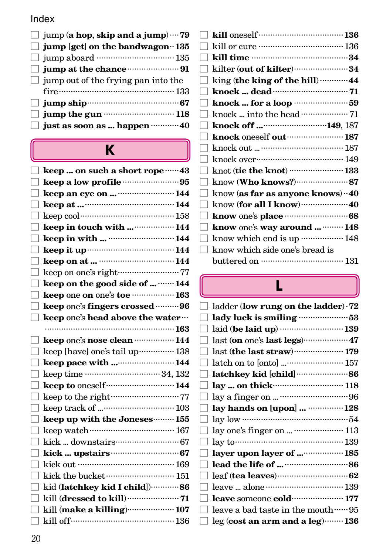| $\Box$ jump (a hop, skip and a jump) $\cdots$ 79 |  |
|--------------------------------------------------|--|
| $\Box$ jump [get] on the bandwagon $\cdot$ 135   |  |
|                                                  |  |
| $\Box$ jump at the chance $\cdots$               |  |
| $\Box$ jump out of the frying pan into the       |  |
|                                                  |  |
| $\Box$ jump ship $\Box$ jump ship $\Box$         |  |
| $\Box$ jump the gun $\cdots$ 118                 |  |
| $\Box$ just as soon as  happen $\cdots$ 40       |  |

## K

| keep  on such a short rope ······ 43                    |  |
|---------------------------------------------------------|--|
|                                                         |  |
| keep an eye on   144                                    |  |
|                                                         |  |
| keep cool………………………………… 158                              |  |
| keep in touch with   144                                |  |
| keep in with   144                                      |  |
|                                                         |  |
|                                                         |  |
| keep on one's right ·······························77   |  |
| keep on the good side of   144                          |  |
| keep one on one's toe  163                              |  |
| keep one's fingers crossed  96                          |  |
| keep one's head above the water                         |  |
|                                                         |  |
| keep one's nose clean  144                              |  |
| keep [have] one's tail up ················ 138          |  |
| keep pace with  144                                     |  |
|                                                         |  |
| keep to oneself  144                                    |  |
| keep to the right ···································77 |  |
|                                                         |  |
| keep up with the Joneses  155                           |  |
|                                                         |  |
|                                                         |  |
|                                                         |  |
|                                                         |  |
| kick the bucket ………………………… 151                          |  |
| kid (latchkey kid I child)86                            |  |
|                                                         |  |
| kill (make a killing) 107                               |  |
|                                                         |  |
|                                                         |  |

|              | kilter (out of kilter) ·························34 |
|--------------|----------------------------------------------------|
|              | king (the king of the hill)  44                    |
|              |                                                    |
|              | knock  for a loop 59                               |
|              | knock  into the head …………………… 71                   |
|              | knock off 149, 187                                 |
| $\mathbf{I}$ |                                                    |
|              |                                                    |
|              | knock over…………………………… 149                          |
|              | knot (tie the knot) ………………… 133                    |
|              |                                                    |
| $\Box$       | know (as far as anyone knows) · 40                 |
|              | know (for all I know)  40                          |
|              |                                                    |
|              | know one's way around  148                         |
|              | know which end is up  148                          |
| $\Box$       | know which side one's bread is                     |
|              |                                                    |

## L

|              | ladder (low rung on the ladder) $-72$ |
|--------------|---------------------------------------|
|              | lady luck is smiling 53               |
|              | laid (be laid up)  139                |
|              | last (on one's last legs) 47          |
|              | last (the last straw)  179            |
|              | latch on to [onto]  157               |
| H            |                                       |
| $\mathbf{I}$ |                                       |
|              |                                       |
|              | lay hands on [upon]   128             |
|              |                                       |
|              | lay one's finger on   113             |
|              |                                       |
| $\mathbf{I}$ | layer upon layer of  185              |
|              |                                       |
|              |                                       |
|              |                                       |
|              | leave someone cold  177               |
|              | leave a bad taste in the mouth  95    |
|              | leg (cost an arm and a leg)  136      |
|              |                                       |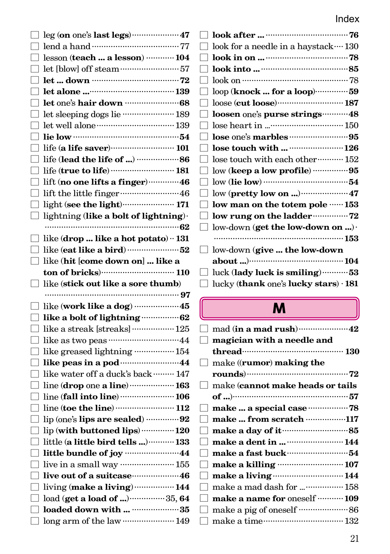| $\Box$ leg (on one's last legs) ……………………… 47                                        | look after $\cdots$ 76                                                                                                                                                                                                                                                                                                     |
|-------------------------------------------------------------------------------------|----------------------------------------------------------------------------------------------------------------------------------------------------------------------------------------------------------------------------------------------------------------------------------------------------------------------------|
|                                                                                     | look for a needle in a haystack  130                                                                                                                                                                                                                                                                                       |
| $\Box$ lesson (teach  a lesson) ………… 104                                            |                                                                                                                                                                                                                                                                                                                            |
|                                                                                     |                                                                                                                                                                                                                                                                                                                            |
|                                                                                     |                                                                                                                                                                                                                                                                                                                            |
| □ let alone ……………………………… 139                                                        | $\text{loop} \left( \textbf{knock} \ldots \textbf{for a loop} \right) \hspace{-1.5mm}\cdot\hspace{-1.5mm} \cdots \hspace{-1.5mm}\cdot\hspace{-1.5mm} \cdots \hspace{-1.5mm} \cdots \hspace{-1.5mm} \cdots \hspace{-1.5mm} \cdots \hspace{-1.5mm} \cdots \hspace{-1.5mm} \cdots \hspace{-1.5mm} \cdots$                     |
| $\Box$ let one's hair down $\cdots$ 68                                              | $\textbf{loose} \hspace{2pt} (\textbf{cut loose}) \hspace{-2pt} \textbf{} \hspace{-2pt} \textbf{} \hspace{-2pt} \textbf{} \hspace{-2pt} \textbf{} \hspace{-2pt} \textbf{} \hspace{-2pt} \textbf{} \hspace{-2pt} \textbf{} \hspace{-2pt} \textbf{} \hspace{-2pt} \textbf{} \hspace{-2pt} \textbf{} \hspace{-2pt} \textbf{}$ |
| let sleeping dogs lie ………………… 189                                                   | loosen one's purse strings ····· 48                                                                                                                                                                                                                                                                                        |
|                                                                                     |                                                                                                                                                                                                                                                                                                                            |
| $\overline{\phantom{a}}$ lie low $\cdots$ and $\cdots$ and $\overline{\phantom{a}}$ |                                                                                                                                                                                                                                                                                                                            |
| life (a life saver) <b>101</b>                                                      | lose touch with   126                                                                                                                                                                                                                                                                                                      |
|                                                                                     | lose touch with each other $\cdots\cdots\cdots\cdots 152$                                                                                                                                                                                                                                                                  |
|                                                                                     |                                                                                                                                                                                                                                                                                                                            |
| $\Box$ lift (no one lifts a finger)  46                                             |                                                                                                                                                                                                                                                                                                                            |
|                                                                                     | low (pretty low on )  47                                                                                                                                                                                                                                                                                                   |
|                                                                                     | low man on the totem pole  153                                                                                                                                                                                                                                                                                             |
| lightning (like a bolt of lightning).                                               | low rung on the ladder ··············· 72                                                                                                                                                                                                                                                                                  |
|                                                                                     | low-down (get the low-down on ).                                                                                                                                                                                                                                                                                           |
| $\Box$ like (drop  like a hot potato) $\cdot$ 131                                   |                                                                                                                                                                                                                                                                                                                            |
|                                                                                     | low-down (give  the low-down                                                                                                                                                                                                                                                                                               |
| $\Box$ like (hit [come down on]  like a                                             |                                                                                                                                                                                                                                                                                                                            |
|                                                                                     | luck (lady luck is smiling)  53                                                                                                                                                                                                                                                                                            |
|                                                                                     | lucky (thank one's lucky stars) $\cdot$ 181                                                                                                                                                                                                                                                                                |
|                                                                                     |                                                                                                                                                                                                                                                                                                                            |
|                                                                                     |                                                                                                                                                                                                                                                                                                                            |
| $\Box$ like (work like a dog)  45                                                   | M                                                                                                                                                                                                                                                                                                                          |
|                                                                                     |                                                                                                                                                                                                                                                                                                                            |
| $\hfill\Box$ like a streak [streaks] ………………… 125                                    | $\mathop{\mathrm{mad}}\nolimits$ (in a $\mathop{\mathrm{mad}}\nolimits$ rush) $\cdots\cdots\cdots\cdots\cdots\cdots\cdots\cdots 42$                                                                                                                                                                                        |
|                                                                                     | magician with a needle and                                                                                                                                                                                                                                                                                                 |
| □ like greased lightning ·················· 154                                     |                                                                                                                                                                                                                                                                                                                            |
|                                                                                     | make ((rumor) making the                                                                                                                                                                                                                                                                                                   |
| $\Box$ like water off a duck's back ……… 147                                         |                                                                                                                                                                                                                                                                                                                            |
| $\Box$ line (drop one a line)  163                                                  | make (cannot make heads or tails                                                                                                                                                                                                                                                                                           |
| $\Box$ line (fall into line)  106                                                   |                                                                                                                                                                                                                                                                                                                            |
|                                                                                     |                                                                                                                                                                                                                                                                                                                            |
|                                                                                     | make  from scratch ……………117                                                                                                                                                                                                                                                                                                |
| lip (with buttoned lips)  120                                                       | make a day of it <b>continuous</b> 85                                                                                                                                                                                                                                                                                      |
| $\Box$ little (a little bird tells ) $\cdots$ 133                                   | make a dent in   144                                                                                                                                                                                                                                                                                                       |
|                                                                                     | make a fast buck $\cdots\cdots\cdots\cdots\cdots\cdots\cdots54$                                                                                                                                                                                                                                                            |
| $\hfill\Box$ live in a small way ……………………… 155                                      | make a killing  107                                                                                                                                                                                                                                                                                                        |
| $\Box$ live out of a suitcase $16$                                                  | make a living www.communication 144                                                                                                                                                                                                                                                                                        |
| living (make a living)  144                                                         | make a mad dash for  158                                                                                                                                                                                                                                                                                                   |
| load (get a load of )  35, 64                                                       | make a name for oneself  109                                                                                                                                                                                                                                                                                               |
| loaded down with  35                                                                |                                                                                                                                                                                                                                                                                                                            |
| $\hfill\Box$ long arm of the law …………………… 149                                       | make a time…………………………… 132                                                                                                                                                                                                                                                                                                 |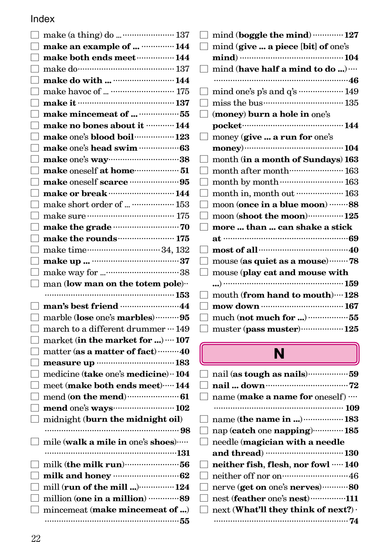|              | $\Box$ make an example of   144                                                                                   |
|--------------|-------------------------------------------------------------------------------------------------------------------|
|              | make both ends meet <b>manual</b> 144                                                                             |
|              |                                                                                                                   |
|              | make do with   144                                                                                                |
|              |                                                                                                                   |
|              |                                                                                                                   |
|              |                                                                                                                   |
| ГΙ           | make no bones about it <b>with 144</b>                                                                            |
|              | make one's blood boil ················· 123                                                                       |
|              |                                                                                                                   |
|              | make one's way 38                                                                                                 |
|              | make oneself at home ····················· 51                                                                     |
|              |                                                                                                                   |
|              | make or break ……………………… 144                                                                                       |
|              | make short order of   153                                                                                         |
|              |                                                                                                                   |
|              |                                                                                                                   |
| $\mathsf{L}$ |                                                                                                                   |
|              |                                                                                                                   |
|              |                                                                                                                   |
| H            |                                                                                                                   |
|              |                                                                                                                   |
| $\mathsf{L}$ | $\text{man} \left( \text{low} \text{ man} \text{ on the} \text{ to } \text{tem} \text{ pole} \right) \cdot \cdot$ |
|              |                                                                                                                   |
|              | man's best friend <b>manual</b> 44                                                                                |
|              | marble (lose one's marbles)  95                                                                                   |
|              | march to a different drummer ··· 149                                                                              |
|              | market (in the market for )  107                                                                                  |
|              | matter (as a matter of fact) ……… 40                                                                               |
|              |                                                                                                                   |
|              | medicine (take one's medicine) ·· 104                                                                             |
| П            | meet (make both ends meet) ····· 144                                                                              |
|              |                                                                                                                   |
|              |                                                                                                                   |
| □            | midnight (burn the midnight oil)                                                                                  |
|              |                                                                                                                   |
| $\Box$       | mile (walk a mile in one's shoes) $\cdots$                                                                        |
|              |                                                                                                                   |
|              | milk (the milk run) <b>contract of the milk</b>                                                                   |
|              | milk and honey <b>contained</b> and <b>62</b>                                                                     |
| $\Box$       | mill (run of the mill ) ················ 124                                                                      |
| $\Box$       | million (one in a million) …………89                                                                                 |
|              | mincemeat (make mincemeat of )                                                                                    |

|                   | mind (boggle the mind)  127                |
|-------------------|--------------------------------------------|
|                   | mind (give  a piece [bit] of one's         |
|                   |                                            |
| $\vert \ \ \vert$ | mind (have half a mind to do )             |
|                   |                                            |
|                   | mind one's p's and q's  149                |
|                   |                                            |
|                   | (money) burn a hole in one's               |
|                   | pocket………………………………… 144                    |
|                   | money (give  a run for one's               |
|                   |                                            |
|                   | month (in a month of Sundays) 163          |
|                   | month after month (163)                    |
|                   | month by month  163                        |
|                   | month in, month out  163                   |
|                   | moon (once in a blue moon) 88              |
|                   | moon (shoot the moon) ················ 125 |
|                   | more  than  can shake a stick              |
|                   |                                            |
|                   | most of all manual 40                      |
|                   | mouse (as quiet as a mouse) 78             |
| $\Box$            | mouse (play cat and mouse with             |
|                   |                                            |
|                   | mouth (from hand to mouth)  128            |
|                   |                                            |
|                   | much (not much for ) 55                    |
|                   | muster (pass muster)  125                  |

# N

| $\vert \ \ \vert$ |                                                   |  |
|-------------------|---------------------------------------------------|--|
| $\vert \ \ \vert$ | name (make a name for oneself)                    |  |
|                   |                                                   |  |
|                   | name (the name in )  183                          |  |
| $\vert \ \ \vert$ | nap (catch one napping)  185                      |  |
| $\Box$            | needle (magician with a needle                    |  |
|                   |                                                   |  |
|                   | $\Box$ neither fish, flesh, nor fowl $\cdots$ 140 |  |
| 1                 | neither off nor on minimum 46                     |  |
| $\mathsf{L}$      | nerve (get on one's nerves)80                     |  |
|                   | nest (feather one's nest)111                      |  |
|                   |                                                   |  |
|                   | next (What'll they think of next?) $\cdot$        |  |
|                   |                                                   |  |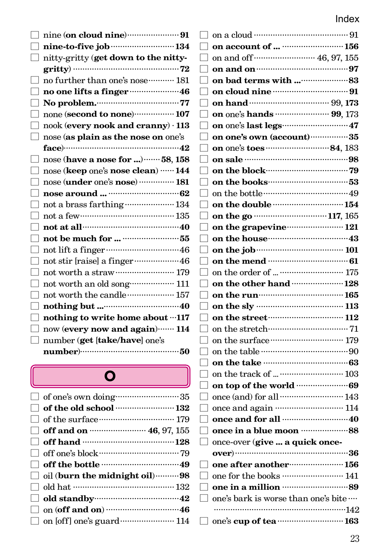| mine (on cloud nine) <b>matters</b> 31                                            |                                                                                                                                                                                                                                |
|-----------------------------------------------------------------------------------|--------------------------------------------------------------------------------------------------------------------------------------------------------------------------------------------------------------------------------|
| nine-to-five job ·································134                             | on account of   156                                                                                                                                                                                                            |
| nitty-gritty (get down to the nitty-                                              | on and off 46, 97, 155                                                                                                                                                                                                         |
|                                                                                   | on and on <b>manual</b> contract on and on <b>manual</b> contract on <b>97</b>                                                                                                                                                 |
| no further than one's nose  181                                                   |                                                                                                                                                                                                                                |
|                                                                                   | on cloud nine <b>manufacture</b> 91                                                                                                                                                                                            |
| No problem.                                                                       |                                                                                                                                                                                                                                |
| none (second to none)…………… 107                                                    |                                                                                                                                                                                                                                |
| nook (every nook and cranny) $\cdot$ 113                                          |                                                                                                                                                                                                                                |
| nose (as plain as the nose on one's                                               | on one's own (account) 35                                                                                                                                                                                                      |
| face)……………………………………………42                                                          |                                                                                                                                                                                                                                |
| nose (have a nose for )  58, 158                                                  |                                                                                                                                                                                                                                |
| nose (keep one's nose clean)  144                                                 | on the block control of the block of the block of the block of the block of the block of the block of the block of the block of the block of the block of the block of the block of the block of the block of the block of the |
| nose (under one's nose) …………… 181                                                 |                                                                                                                                                                                                                                |
|                                                                                   | on the bottle………………………………49                                                                                                                                                                                                    |
| not a brass farthing www.wave.using.                                              | on the double ………………………… 154                                                                                                                                                                                                   |
| not a few $\cdots$ 135                                                            |                                                                                                                                                                                                                                |
| not at all $\cdots$ and $\cdots$ and $\cdots$ and $\cdots$                        | on the grapevine manufacture 121                                                                                                                                                                                               |
|                                                                                   | on the house <b>contract to the house of the house</b>                                                                                                                                                                         |
| not lift a finger $\hspace*{0.4cm} \ldots \hspace*{0.4cm}$                        |                                                                                                                                                                                                                                |
| not stir [raise] a finger ·····················46                                 | on the mend $\cdots$ 61                                                                                                                                                                                                        |
| not worth a straw<br>$\cdots\cdots\cdots\cdots\cdots\cdots\cdots\cdots\cdots$ 179 |                                                                                                                                                                                                                                |
| not worth an old song 111                                                         | on the other hand  128                                                                                                                                                                                                         |
| not worth the candle ……………… 157                                                   | on the run model of 165                                                                                                                                                                                                        |
|                                                                                   | on the sly …………………………… 113                                                                                                                                                                                                     |
| nothing to write home about "117                                                  | on the street $\cdots$ 112                                                                                                                                                                                                     |
| now (every now and again)  114                                                    | on the stretch<br>$\cdots$ . $71$                                                                                                                                                                                              |
| number (get [take/have] one's                                                     | on the surface $\cdots$ 179                                                                                                                                                                                                    |
|                                                                                   | on the table $\cdots$ $\cdots$ $\cdots$ $\cdots$ $\cdots$ $\cdots$ $\cdots$ $\cdots$ $\cdots$ $\cdots$ $\cdots$                                                                                                                |
|                                                                                   | on the take monomulations 63                                                                                                                                                                                                   |
| O                                                                                 |                                                                                                                                                                                                                                |
|                                                                                   |                                                                                                                                                                                                                                |
| of one's own doing $\cdots\cdots\cdots\cdots\cdots\cdots\cdots\cdots35$           | once (and) for all  143                                                                                                                                                                                                        |
| of the old school $\cdots\cdots\cdots\cdots\cdots\cdots\cdots 132$                | once and again ……………………… 114                                                                                                                                                                                                   |
|                                                                                   |                                                                                                                                                                                                                                |
| off and on <b>manufacture</b> 46, 97, 155                                         | once in a blue moon ···························88                                                                                                                                                                              |
| off hand model and an 128                                                         | once-over (give  a quick once-                                                                                                                                                                                                 |
|                                                                                   |                                                                                                                                                                                                                                |
|                                                                                   | one after another <b>manufacture</b> 156                                                                                                                                                                                       |
| oil (burn the midnight oil) ·········· 98                                         | one for the books  141                                                                                                                                                                                                         |
| old hat …………………………………… 132                                                        | one in a million <b>manual</b> 89                                                                                                                                                                                              |
| old standby (2003) 32                                                             | one's bark is worse than one's bite                                                                                                                                                                                            |
| on (off and on) $\cdots$ 46                                                       | …142                                                                                                                                                                                                                           |

 ........................................................142 □ one's **cup of tea**............................**163**

| $\Box$ of the old school ……………………… 132 |  |
|----------------------------------------|--|
|                                        |  |
|                                        |  |
|                                        |  |
| $\Box$ off one's block $\cdots$        |  |
| $\Box$ off the bottle $\cdots$         |  |
| oil (burn the midnight oil)  98        |  |
| $\Box$ old hat ………………………………………… 132    |  |
| $\Box$ old standby $\Box$              |  |
|                                        |  |
|                                        |  |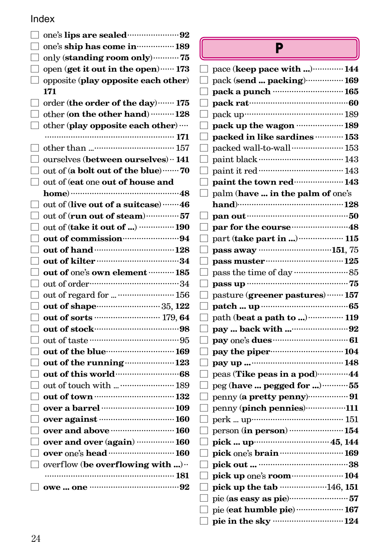|              | one's ship has come in manual 189           |
|--------------|---------------------------------------------|
|              | only (standing room only)75                 |
| $\mathsf{L}$ | open (get it out in the open)  173          |
|              | opposite (play opposite each other)         |
|              | 171                                         |
|              | order (the order of the day)  175           |
| FГ           | other (on the other hand) ……… 128           |
| ⊡            | other (play opposite each other)            |
|              |                                             |
|              |                                             |
|              | ourselves (between ourselves) ·· 141        |
| П            | out of (a bolt out of the blue)  70         |
| $\mathsf{L}$ | out of (eat one out of house and            |
|              |                                             |
|              | out of (live out of a suitcase) ……. 46      |
|              | out of (run out of steam)  57               |
| ГΙ           | out of (take it out of )  190               |
| H            | out of commission www.ga                    |
|              |                                             |
|              |                                             |
|              | out of one's own element <b>With 185</b>    |
|              |                                             |
| $\mathsf{L}$ | out of regard for   156                     |
|              |                                             |
|              | out of sorts <b>contract 179,64</b>         |
|              |                                             |
| H            |                                             |
| $\mathsf{L}$ | out of the blue <b>contract to the blue</b> |
|              | out of the running <b>contract 123</b>      |
|              |                                             |
|              | out of touch with   189                     |
|              |                                             |
| $\mathsf{L}$ |                                             |
|              | over against manual 160                     |
|              | over and above <b>manual</b> 160            |
|              | over and over (again)  160                  |
|              | over one's head  160                        |
|              | overflow (be overflowing with )             |
|              |                                             |
|              |                                             |
|              |                                             |

### P

| pace (keep pace with ) 144                          |  |
|-----------------------------------------------------|--|
| pack (send  packing) 169                            |  |
| pack a punch ………………………… 165                         |  |
| pack rat…………………………………60                             |  |
| pack up………………………………… 189                            |  |
| pack up the wagon ………………189                         |  |
| packed in like sardines  153                        |  |
| packed wall-to-wall  153                            |  |
| paint black ……………………………… 143                        |  |
|                                                     |  |
| paint the town red  143                             |  |
| palm (have  in the palm of one's                    |  |
| hand)……………………………………128                              |  |
|                                                     |  |
|                                                     |  |
| part ( <b>take part in </b> )  115                  |  |
| pass away …………………………151, 75                         |  |
| pass muster $125$                                   |  |
|                                                     |  |
|                                                     |  |
| pasture (greener pastures)……157                     |  |
|                                                     |  |
| path ( <b>beat a path to </b> ) <b>119</b>          |  |
| pay  back with <sup></sup> 92                       |  |
|                                                     |  |
| pay the piper---------------------------------104   |  |
|                                                     |  |
| peas ( <b>Tike peas in a pod</b> )…………44            |  |
| peg ( <b>have  pegged for </b> )…………55              |  |
| penny (a pretty penny)………………… 91                    |  |
| penny (pinch pennies)111                            |  |
| perk  up……………………………… 151                            |  |
| person (in person) …………………… 154                     |  |
| pick  up………………………… 45, 144                          |  |
| pick one's brain model and 169                      |  |
|                                                     |  |
| pick up one's room ······················· 104      |  |
| pick up the tab ………………146, 151                      |  |
|                                                     |  |
| pie ( <b>eat humble pie</b> ) ……………… 167            |  |
| pie in the sky ·································124 |  |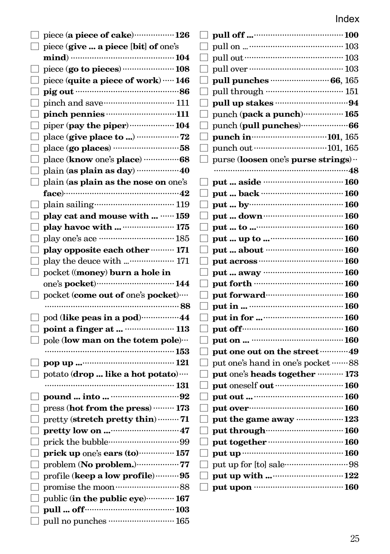| $\Box$ piece (a piece of cake) $\cdots$ 126                                    | $\perp$ pull off … <sup></sup>     |
|--------------------------------------------------------------------------------|------------------------------------|
| $\Box$ piece (give  a piece [bit] of one's                                     | pull on                            |
|                                                                                | pull out                           |
| $\Box$ piece (go to pieces)  108                                               | pull over                          |
| $\Box$ piece (quite a piece of work) $\cdots$ 146                              | ГΙ<br>pull punch                   |
|                                                                                | ப<br>pull throug                   |
|                                                                                | pull up sta                        |
|                                                                                | punch (pac)                        |
| $\Box$ piper (pay the piper) $\cdots$ 104                                      | ப<br>punch (pull                   |
|                                                                                | punch in $\cdots$                  |
| $\Box$ place (go places) …………………………58                                          | $\Box$ punch out $\cdots$          |
|                                                                                | $\Box$ purse (loose                |
|                                                                                | .                                  |
| $\Box$ plain (as plain as the nose on one's                                    | $\Box$ put  aside                  |
| face)…………………………………………42                                                        | put  back                          |
| $\Box$ plain sailing $\cdots$ $\cdots$ $\cdots$ $\cdots$ $\cdots$ $\cdots$ 119 | put  by $\cdots$<br>$\Box$         |
| □ play cat and mouse with  …… 159                                              | put  dow                           |
|                                                                                | put  to                            |
|                                                                                | $\Box$<br>put  up to               |
| $\Box$ play opposite each other ……… 171                                        | put  abou                          |
|                                                                                | $\Box$<br>put across               |
| $\Box$ pocket ((money) burn a hole in                                          | put  away                          |
|                                                                                | ப<br>put forth ··                  |
| $\Box$ pocket (come out of one's pocket)                                       | put forwar                         |
|                                                                                | put in                             |
| $\Box$ pod (like peas in a pod) $\cdots$ $44$                                  | put in for.<br>$\Box$              |
|                                                                                | put off                            |
| $\Box$ pole (low man on the totem pole)                                        | $\Box$ put on $\cdots$             |
|                                                                                | $\Box$ put one ou                  |
|                                                                                | put one's ha                       |
| $\Box$ potato ( <b>drop</b> like a hot potato)…                                | put one's he                       |
|                                                                                | put oneself                        |
|                                                                                | $\bigsqcup$ put out … $\cdot\cdot$ |
| $\Box$ press (hot from the press) ……… 173                                      | $\Box$ put over $\cdots$           |
|                                                                                | put the gar                        |
|                                                                                | $\Box$<br>put throug               |
|                                                                                | put togeth                         |
| $\Box$ prick up one's ears (to)  157                                           | $\Box$ put up ……                   |
| problem (No problem.) ······················ 77                                | $\Box$ put up for [t               |
| profile (keep a low profile)  95                                               | put up with<br>$\Box$              |
|                                                                                | $\bigsqcup$ put upon $\cdot\cdot$  |
| public (in the public eye)  167                                                |                                    |
|                                                                                |                                    |
| $\Box$ pull no punches ………………………… 165                                          |                                    |

| pull off …………………………………… 100                   |  |
|-----------------------------------------------|--|
| pull on  ………………………………… 103                    |  |
| pull out ……………………………………… 103                  |  |
| pull over …………………………………… 103                  |  |
| pull punches ……………………… 66, 165                |  |
| pull through …………………………… 151                  |  |
| pull up stakes ……………………………94                  |  |
| punch ( <b>pack a punch</b> )…………… <b>165</b> |  |
| punch ( <b>pull punches</b> )…………………66        |  |
|                                               |  |
| punch out ………………………………… 101, 165              |  |
| purse (loosen one's purse strings)            |  |
|                                               |  |
|                                               |  |
| put  back …………………………… 160                     |  |
| put  by……………………………… 160                       |  |
|                                               |  |
|                                               |  |
| put  up to ………………………… 160                     |  |
| put  about …………………………… 160                    |  |
|                                               |  |
|                                               |  |
| put forth …………………………………… 160                  |  |
| put forward………………………… 160                     |  |
| put in  ………………………………… 160                     |  |
| put in for ……………………………… 160                   |  |
| put off………………………………………… 160                   |  |
| put on  ……………………………… 160                      |  |
| put one out on the street …………49              |  |
| put one's hand in one's pocket ……88           |  |
| put one's heads together ………… 173             |  |
|                                               |  |
|                                               |  |
| put over…………………………………… 160                    |  |
| put the game away …………………123                  |  |
| put through with the 160                      |  |
|                                               |  |
|                                               |  |
|                                               |  |
|                                               |  |
|                                               |  |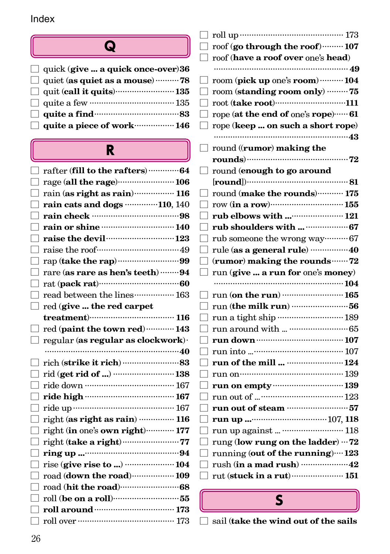### Q

| $\Box$ quick (give  a quick once-over) 36                                               |  |
|-----------------------------------------------------------------------------------------|--|
| quiet (as quiet as a mouse) $\cdots$ 78                                                 |  |
| quit (call it quits) $\cdots$ 135                                                       |  |
| $\Box$ quite a few $\cdots$ $\cdots$ $\cdots$ $\cdots$ $\cdots$ $\cdots$ $\cdots$ $135$ |  |
| $\Box$ quite a find $\cdots$ and $\Box$                                                 |  |
| quite a piece of work $\cdots$ 146                                                      |  |

### R

| rafter (fill to the rafters)  64                      |  |
|-------------------------------------------------------|--|
|                                                       |  |
| rain (as right as rain)  116                          |  |
| rain cats and dogs 110, 140                           |  |
|                                                       |  |
|                                                       |  |
| raise the devil <b>container the devilocation</b> 123 |  |
|                                                       |  |
|                                                       |  |
| rare (as rare as hen's teeth)  94                     |  |
| rat (pack rat) $\cdots$ 60                            |  |
| read between the lines  163                           |  |
| red (give  the red carpet                             |  |
| $treatment)$ $116$                                    |  |
| red (paint the town red)  143                         |  |
| regular (as regular as clockwork).                    |  |
|                                                       |  |
|                                                       |  |
|                                                       |  |
|                                                       |  |
|                                                       |  |
|                                                       |  |
|                                                       |  |
| right (as right as rain)  116                         |  |
| right (in one's own right)  177                       |  |
|                                                       |  |
|                                                       |  |
| rise (give rise to )  104                             |  |
| road (down the road)  109                             |  |
|                                                       |  |
|                                                       |  |
|                                                       |  |
|                                                       |  |

| 173<br>roll up……                          |    |
|-------------------------------------------|----|
| roof (go through the roof) 107            |    |
| roof (have a roof over one's head)        |    |
| 49                                        |    |
| room (pick up one's room)  104            |    |
| room (standing room only) 75              |    |
| root (take root)111                       |    |
| rope (at the end of one's rope)  61       |    |
| rope (keep  on such a short rope)         |    |
|                                           |    |
| round ((rumor) making the                 |    |
| rounds)……………………………                        | 72 |
| round (enough to go around                |    |
| [round]                                   |    |
| round (make the rounds)  175              |    |
|                                           |    |
| rub elbows with  121                      |    |
|                                           |    |
| rub someone the wrong way ·········· 67   |    |
| rule (as a general rule) 40               |    |
| (rumor) making the rounds ······· 72      |    |
| run (give  a run for one's money)         |    |
|                                           |    |
|                                           |    |
| run (on the run) $\cdots$ 165             |    |
|                                           |    |
|                                           |    |
|                                           |    |
| run down ……………………………… 107                 |    |
|                                           |    |
|                                           |    |
| run on…………………………………… 139                  |    |
| run on empty …………………………… 139              |    |
|                                           |    |
| run out of steam ………………………57              |    |
|                                           |    |
| run up against<br>$\cdots$ 118            |    |
| rung (low rung on the ladder) $\cdots$ 72 |    |
| running (out of the running)  123         |    |
|                                           |    |
| rut (stuck in a rut) …………………… 151         |    |

□ sail (**take the wind out of the sails** S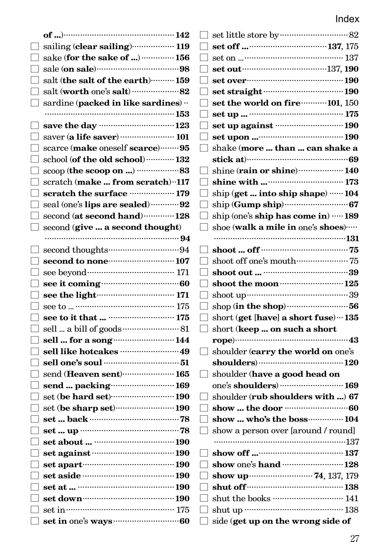| sailing (clear sailing)  119                   |                                            |
|------------------------------------------------|--------------------------------------------|
| sake ( <b>for the sake of </b> ) …………… 156     |                                            |
|                                                |                                            |
| salt (the salt of the earth) ·········· 159    |                                            |
|                                                |                                            |
| sardine (packed in like sardines)              | set the world on fire ··········· 101, 150 |
|                                                |                                            |
| save the day monomonically 123                 | set up against ………………………… 190              |
|                                                |                                            |
| scarce (make oneself scarce)  95               | shake (more  than  can shake a             |
| school (of the old school)  132                |                                            |
| scoop (the scoop on ) 83                       | shine (rain or shine)  140                 |
| scratch (make  from scratch) ·· 117            |                                            |
| scratch the surface ……………… 179                 | ship (get  into ship shape)  104           |
| seal (one's lips are sealed) 92                |                                            |
| ${\rm second}$ (at ${\rm second}$ hand)…………128 | ship (one's ship has come in)  189         |
| second (give  a second thought)                | shoe (walk a mile in one's shoes)          |
|                                                |                                            |
|                                                |                                            |
|                                                | 75                                         |
|                                                |                                            |
|                                                |                                            |
| see the light……………………… 171                     |                                            |
|                                                |                                            |
|                                                | short (get [have] a short fuse) ··· 135    |
|                                                | short (keep  on such a short               |
| sell  for a song  144                          |                                            |
|                                                | shoulder (carry the world on one's         |
| sell one's soul ………………………………………51              |                                            |
| send (Heaven sent) 165                         | shoulder (have a good head on              |
|                                                | one's shoulders)  169                      |
| set (be hard set) 190                          | shoulder (rub shoulders with ) 67          |
|                                                |                                            |
|                                                | show  who's the boss  104                  |
|                                                | show a person over [around / round]        |
|                                                |                                            |
| set against manual 190                         |                                            |
|                                                | show one's hand  128                       |
| set aside manufactured 190                     |                                            |
| 190                                            |                                            |
| set down………………………………………… 190                   | shut the books ……………………… 141               |
|                                                |                                            |
|                                                | side (get up on the wrong side of          |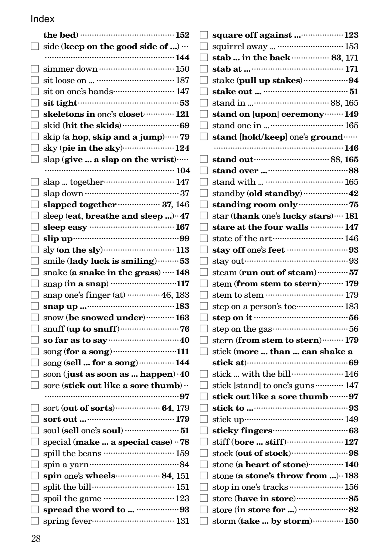| $\sqcup$     | side (keep on the good side of )                                          |
|--------------|---------------------------------------------------------------------------|
|              |                                                                           |
| L            |                                                                           |
|              |                                                                           |
| П            | sit on one's hands…………………… 147                                            |
| Гј           | sit tight……………………………………53                                                 |
|              | skeletons in one's closet  121                                            |
| П            |                                                                           |
| $\mathsf{L}$ | skip (a hop, skip and a jump) ······ 79                                   |
| Г            | sky (pie in the sky) 24                                                   |
| $\Box$       | slap (give  a slap on the wrist)                                          |
|              |                                                                           |
| U.           | slap  together……………………… 147                                               |
|              | $\Box$ slap down $\cdots$ 37                                              |
| П            | slapped together  37, 146                                                 |
| $\mathsf{L}$ | sleep (eat, breathe and sleep ) · 47                                      |
| П            | sleep easy ……………………………… 167                                               |
| ⊔            |                                                                           |
| 囗            | $\text{sky}$ (on the sly) $\cdots$ 113                                    |
| ٦            | smile (lady luck is smiling)  53                                          |
| $\Box$       | snake (a snake in the grass)  148                                         |
| П            | snap (in a snap) ………………………117                                             |
| $\mathsf{L}$ | snap one's finger (at)  46, 183                                           |
| П            |                                                                           |
| ГΙ           | snow (be snowed under)  163                                               |
| $\mathsf{L}$ |                                                                           |
| П            | so far as to say $\cdots$ 40<br>song (for a song) 111                     |
| $\Box$<br>П  | song (sell  for a song)  144                                              |
| П            |                                                                           |
| $\Box$       | soon (just as soon as  happen) · 40<br>sore (stick out like a sore thumb) |
|              |                                                                           |
|              |                                                                           |
| П            |                                                                           |
|              |                                                                           |
|              | special (make  a special case) ·· 78                                      |
| П            | spill the beans  159                                                      |
| ⊔            | spin a yarn………………………………84                                                 |
|              | spin one's wheels  84, 151                                                |
|              |                                                                           |
|              | spoil the game ……………………… 123                                              |
| $\mathsf{L}$ | spread the word to  93                                                    |
| $\Box$       | spring fever…………………………… 131                                               |
|              |                                                                           |

| square off against  123                           |
|---------------------------------------------------|
| squirrel away   153                               |
| stab  in the back …………… 83, 171                   |
|                                                   |
| stake (pull up stakes) 94                         |
|                                                   |
|                                                   |
| stand on [upon] ceremony ········· 149            |
|                                                   |
| stand [hold/keep] one's ground                    |
|                                                   |
| stand out manual 88, 165                          |
|                                                   |
|                                                   |
|                                                   |
|                                                   |
| star (thank one's lucky stars)  181               |
| stare at the four walls  147                      |
|                                                   |
|                                                   |
|                                                   |
| steam (run out of steam)  57                      |
| stem (from stem to stern)……… 179                  |
|                                                   |
| step on a person's toe ······················ 183 |
|                                                   |
|                                                   |
| stern (from stem to stern)……… 179                 |
| stick (more  than  can shake a                    |
|                                                   |
| stick  with the bill  146                         |
| stick [stand] to one's guns  147                  |
| stick out like a sore thumb  97                   |
|                                                   |
|                                                   |
| sticky fingers (3)                                |
|                                                   |
|                                                   |
| stone (a heart of stone) 140                      |
| stone (a stone's throw from ) ·· 183              |
| stop in one's tracks ························ 156 |
|                                                   |
|                                                   |
| storm (take  by storm)  150                       |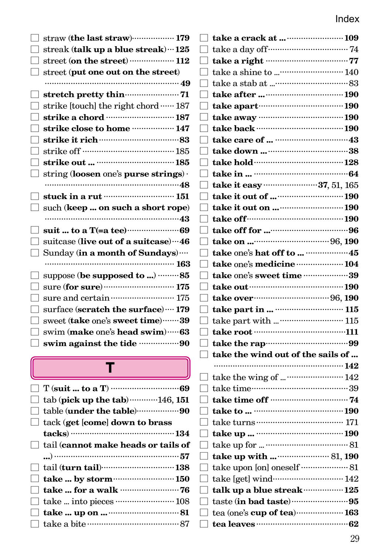| straw (the last straw) ····················· 179<br>streak (talk up a blue streak) ··· 125<br>street (on the street) ……………… 112<br>street (put one out on the street) |
|-----------------------------------------------------------------------------------------------------------------------------------------------------------------------|
| strike [touch] the right chord  187<br>strike a chord manufactured 187<br>strike close to home  147<br>string (loosen one's purse strings).                           |
| stuck in a rut manual 151<br>such (keep  on such a short rope)                                                                                                        |
| suitcase (live out of a suitcase) ··· 46<br>Sunday (in a month of Sundays)<br>suppose (be supposed to )  85                                                           |
| sure and certain momentum 175<br>surface (scratch the surface)  179<br>sweet (take one's sweet time)  39<br>swim (make one's head swim)  63                           |
| swim against the tide 90                                                                                                                                              |

### T

| $\Box$ tab (pick up the tab) $\cdots$ 146, 151 |
|------------------------------------------------|
|                                                |
| $\Box$ tack (get [come] down to brass          |
|                                                |
| $\Box$ tail (cannot make heads or tails of     |
|                                                |
|                                                |
| $\Box$ take  by storm  150                     |
|                                                |
|                                                |
|                                                |
|                                                |
|                                                |

|                          | $\Box$ take a day of f $\Box$                                |  |
|--------------------------|--------------------------------------------------------------|--|
| $\mathbf{L}$             |                                                              |  |
|                          |                                                              |  |
| $\mathbb{R}$             |                                                              |  |
|                          |                                                              |  |
|                          | $\vert$ take apart $\cdots$ and $\cdots$ and $\frac{190}{2}$ |  |
|                          |                                                              |  |
| ┑                        | take back ……………………………… 190                                   |  |
| $\mathbb{R}$             |                                                              |  |
| $\mathbf{I}$             |                                                              |  |
| ı                        |                                                              |  |
| $\mathbb{R}$             |                                                              |  |
|                          |                                                              |  |
|                          |                                                              |  |
| $\mathbf{I}$             |                                                              |  |
|                          | $\Box$ take off $\Box$ take $\Box$                           |  |
|                          |                                                              |  |
| ┑.                       |                                                              |  |
|                          |                                                              |  |
|                          | take one's medicine  104                                     |  |
| ٦                        | take one's sweet time 39                                     |  |
| $\Box$                   |                                                              |  |
| T                        |                                                              |  |
| $\Box$                   |                                                              |  |
| $\mathbf{I}$             |                                                              |  |
|                          | $\boxed{\text{ take root}}$                                  |  |
|                          |                                                              |  |
| Q.                       | take the wind out of the sails of                            |  |
|                          |                                                              |  |
|                          |                                                              |  |
|                          |                                                              |  |
|                          |                                                              |  |
|                          |                                                              |  |
| T                        |                                                              |  |
|                          |                                                              |  |
|                          |                                                              |  |
| ı                        |                                                              |  |
| $\perp$                  | take upon [on] oneself ………………… 81                            |  |
|                          | $\vert$ take [get] wind $\cdots$ 142                         |  |
| $\mathbb{R}$             | talk up a blue streak  125                                   |  |
| $\overline{\phantom{a}}$ |                                                              |  |
| TJ.                      | tea (one's cup of tea)  163                                  |  |
| $\mathbb{R}$             |                                                              |  |
|                          |                                                              |  |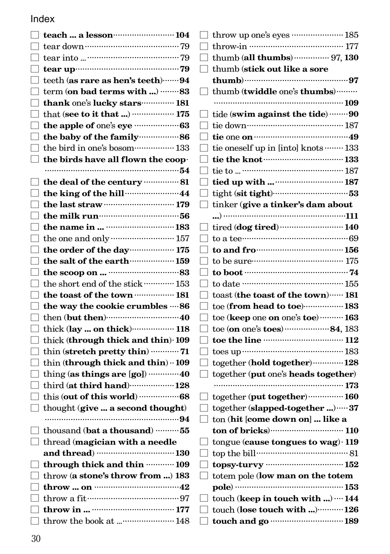| $\Box$ teach  a lesson $\cdots$ 104                                         |
|-----------------------------------------------------------------------------|
|                                                                             |
|                                                                             |
|                                                                             |
| $\Box$ teeth (as rare as hen's teeth) $\cdots\cdots 94$                     |
| $\Box$ term (on bad terms with ) ……… 83                                     |
| thank one's lucky stars <b>181</b>                                          |
|                                                                             |
|                                                                             |
| $\Box$ the baby of the family $\Box$ in 86                                  |
| $\hfill\Box$ the bird in one's bosom……………… 133                              |
| $\Box$ the birds have all flown the coop-                                   |
|                                                                             |
| $\Box$ the deal of the century $\cdots\cdots\cdots\cdots\cdots\cdots\cdots$ |
| $\Box$ the king of the hill $\cdots$                                        |
|                                                                             |
| $\Box$ the milk run $\Box$                                                  |
|                                                                             |
|                                                                             |
| $\Box$ the order of the day $\Box$ 175                                      |
|                                                                             |
|                                                                             |
| $\hfill\Box$ the short end of the stick …………… 153                           |
| $\Box$ the toast of the town ……………… 181                                     |
| $\Box$ the way the cookie crumbles $\cdots$ 86                              |
|                                                                             |
| thick (lay  on thick) 118                                                   |
| $\Box$ thick (through thick and thin) $\cdot$ 109                           |
| thin (stretch pretty thin) ………… 71                                          |
| $\Box$ thin (through thick and thin) $\cdot \cdot$ 109                      |
| $\Box$ thing (as things are [go]) …………40                                    |
| $\Box$ third (at third hand)  128                                           |
|                                                                             |
| $\Box$ thought (give  a second thought)                                     |
|                                                                             |
| $\Box$ thousand (bat a thousand)  55                                        |
| $\Box$ thread (magician with a needle                                       |
|                                                                             |
| through thick and thin  109                                                 |
| $\Box$ throw (a stone's throw from ) 183                                    |
|                                                                             |
| $\hfill\Box$ throw a fit $\hfill\cdots$                                     |
|                                                                             |
|                                                                             |

|        | $\Box$ throw up one's eyes ………………… 185                                                                                                                                                                                              |
|--------|-------------------------------------------------------------------------------------------------------------------------------------------------------------------------------------------------------------------------------------|
|        |                                                                                                                                                                                                                                     |
|        | thumb (all thumbs)  97, 130                                                                                                                                                                                                         |
|        | thumb (stick out like a sore                                                                                                                                                                                                        |
|        |                                                                                                                                                                                                                                     |
|        | thumb (twiddle one's thumbs)                                                                                                                                                                                                        |
|        |                                                                                                                                                                                                                                     |
|        | tide (swim against the tide) 90                                                                                                                                                                                                     |
|        |                                                                                                                                                                                                                                     |
|        |                                                                                                                                                                                                                                     |
|        | tie oneself up in [into] knots  133                                                                                                                                                                                                 |
|        | tie the knot <b>contract the knot</b>                                                                                                                                                                                               |
|        |                                                                                                                                                                                                                                     |
|        |                                                                                                                                                                                                                                     |
|        |                                                                                                                                                                                                                                     |
| $\Box$ | tinker (give a tinker's dam about                                                                                                                                                                                                   |
|        |                                                                                                                                                                                                                                     |
|        | tired (dog tired)  140                                                                                                                                                                                                              |
|        |                                                                                                                                                                                                                                     |
|        | to and frowwww.www.www.u56                                                                                                                                                                                                          |
|        | to be sure $175$                                                                                                                                                                                                                    |
|        | to boot $\cdots$ 74                                                                                                                                                                                                                 |
|        |                                                                                                                                                                                                                                     |
|        | toast (the toast of the town)  181                                                                                                                                                                                                  |
|        | toe (from head to toe) 183                                                                                                                                                                                                          |
|        | toe (keep one on one's toe)  163                                                                                                                                                                                                    |
|        | toe (on one's toes) 84, 183                                                                                                                                                                                                         |
|        | toe the line <b>contract to the line</b> of the line of the line of the line of the line of the line of the line of the line of the line of the line of the line of the line of the line of the line of the line of the line of the |
|        |                                                                                                                                                                                                                                     |
|        | together (hold together)  128                                                                                                                                                                                                       |
| П.     | together (put one's heads together)                                                                                                                                                                                                 |
|        |                                                                                                                                                                                                                                     |
|        | together (put together)  160                                                                                                                                                                                                        |
|        | together (slapped-together )  37                                                                                                                                                                                                    |
|        | ton (hit [come down on]  like a                                                                                                                                                                                                     |
|        |                                                                                                                                                                                                                                     |
|        | tongue (cause tongues to wag) · 119                                                                                                                                                                                                 |
|        |                                                                                                                                                                                                                                     |
|        |                                                                                                                                                                                                                                     |
|        | totem pole (low man on the totem                                                                                                                                                                                                    |
|        | pole) …………………………………… 153                                                                                                                                                                                                            |
|        | touch (keep in touch with )  144                                                                                                                                                                                                    |
|        | touch (lose touch with ) 126                                                                                                                                                                                                        |
|        |                                                                                                                                                                                                                                     |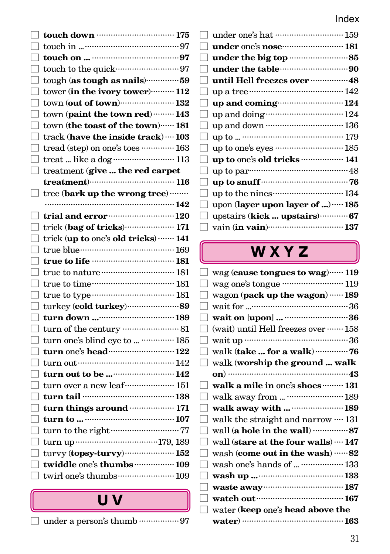31

#### Index

| $\mathbf{I}$             | touch down ………………………… 175                                             |  |
|--------------------------|-----------------------------------------------------------------------|--|
|                          |                                                                       |  |
|                          |                                                                       |  |
|                          | touch to the quick………………………97                                         |  |
| - 1                      | tough (as tough as nails)59                                           |  |
| □                        | tower (in the ivory tower) <b>112</b>                                 |  |
| J                        | $town (out of town)$ $132$                                            |  |
| ┓                        | town (paint the town red)  143                                        |  |
| ┚                        | town (the toast of the town) ······ 181                               |  |
| $\overline{\phantom{0}}$ | track (have the inside track)  103                                    |  |
|                          | tread (step) on one's toes  163                                       |  |
|                          | treat  like a dog  113                                                |  |
|                          | treatment (give  the red carpet                                       |  |
|                          | $treatment)$ $116$                                                    |  |
| $\Box$                   | tree (bark up the wrong tree)                                         |  |
|                          |                                                                       |  |
|                          | trial and error manual 120                                            |  |
| $\Box$                   | trick (bag of tricks) 171                                             |  |
|                          | trick (up to one's old tricks)  141                                   |  |
|                          | true blue……………………………… 169                                             |  |
| ┓                        |                                                                       |  |
| ┘                        | true to nature <b>contract and the 181</b>                            |  |
| ⊒                        | true to time…………………………… 181                                           |  |
| $\Box$                   |                                                                       |  |
| ┑                        |                                                                       |  |
| ┑                        |                                                                       |  |
|                          |                                                                       |  |
|                          | turn one's blind eye to   185                                         |  |
| ┑                        | turn one's head  122                                                  |  |
|                          |                                                                       |  |
| $\overline{\phantom{a}}$ |                                                                       |  |
|                          | turn over a new leaf $\cdots$ 151                                     |  |
| ٦                        |                                                                       |  |
| ⊒                        | turn things around <b>with the 171</b>                                |  |
| ┑                        |                                                                       |  |
|                          |                                                                       |  |
| ┑                        |                                                                       |  |
| ┑                        | $\text{turv}$ y (topsy-turvy) $\cdots$ $\cdots$ $\cdots$ $\cdots$ 152 |  |
|                          | twiddle one's thumbs  109                                             |  |
|                          |                                                                       |  |
|                          |                                                                       |  |
|                          | UV                                                                    |  |

 $\Box$  under a person's thumb  $\cdots\cdots\cdots\cdots\cdots\cdots97$ 

|              | 11 IUCA                                       |
|--------------|-----------------------------------------------|
|              |                                               |
| $\Box$       |                                               |
| $\Box$       |                                               |
| $\Box$       |                                               |
| $\Box$       | until Hell freezes over <b>manufacture</b> 48 |
| $\mathbf{I}$ |                                               |
| $\Box$       | up and coming  124                            |
| $\Box$       |                                               |
| $\Box$       |                                               |
| $\Box$       |                                               |
| $\Box$       | up to one's eyes  185                         |
| $\Box$       | up to one's old tricks  141                   |
| $\mathbf{I}$ |                                               |
| $\mathbf{I}$ |                                               |
| $\mathbf{I}$ |                                               |
|              | upon (layer upon layer of )  185              |
|              | upstairs (kick  upstairs)  67                 |
|              | $\Box$ vain (in vain) $\cdots$ 137            |

# W X Y Z

| wag (cause tongues to wag)  119                 |
|-------------------------------------------------|
| wag one's tongue ·························· 119 |
| wagon (pack up the wagon)  189                  |
|                                                 |
| wait on [upon]  36                              |
| (wait) until Hell freezes over  158             |
|                                                 |
| walk (take  for a walk)  76                     |
| walk (worship the ground  walk                  |
|                                                 |
| walk a mile in one's shoes  131                 |
| walk away from   189                            |
| walk away with   189                            |
| walk the straight and narrow $\cdots$ 131       |
| wall (a hole in the wall)  87                   |
| wall (stare at the four walls)  147             |
| wash (come out in the wash) ……82                |
| wash one's hands of   133                       |
|                                                 |
| waste away manufactured 187                     |
|                                                 |
| water (keep one's head above the                |
| water) ………………………………… 163                        |
|                                                 |